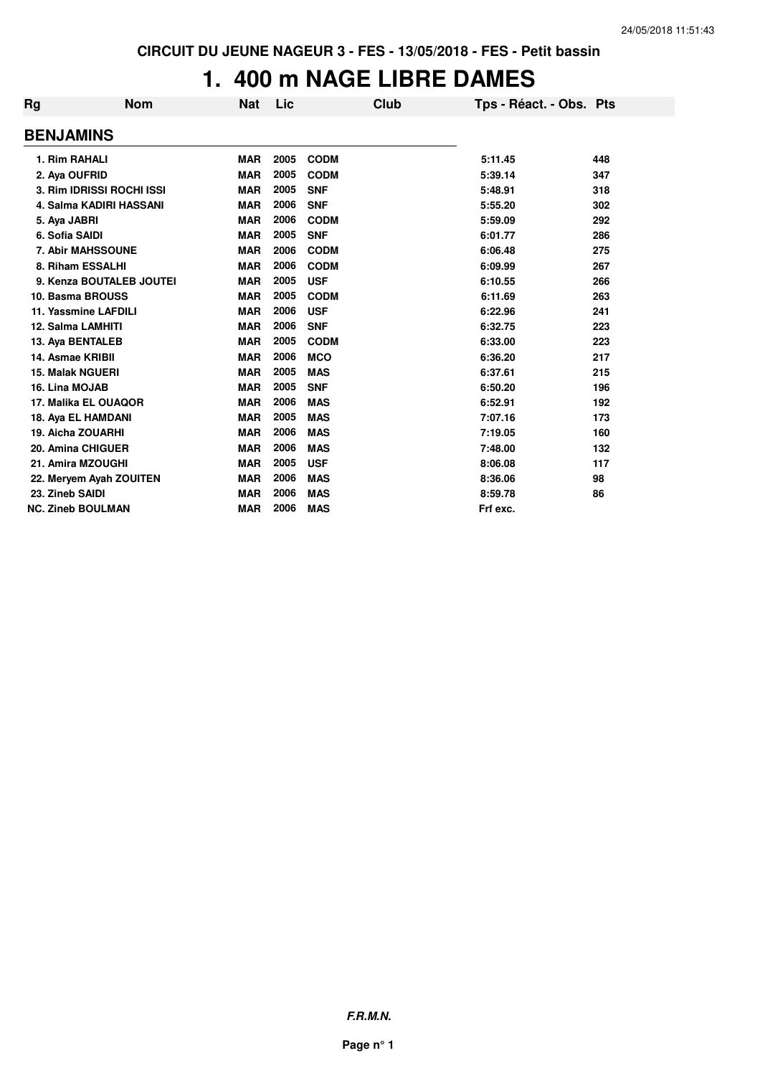### **1. 400 m NAGE LIBRE DAMES**

| Rg                       | <b>Nom</b>                | <b>Nat</b> | Lic  | Club        | Tps - Réact. - Obs. Pts |     |
|--------------------------|---------------------------|------------|------|-------------|-------------------------|-----|
| <b>BENJAMINS</b>         |                           |            |      |             |                         |     |
| 1. Rim RAHALI            |                           | <b>MAR</b> | 2005 | <b>CODM</b> | 5:11.45                 | 448 |
| 2. Aya OUFRID            |                           | <b>MAR</b> | 2005 | <b>CODM</b> | 5:39.14                 | 347 |
|                          | 3. Rim IDRISSI ROCHI ISSI | <b>MAR</b> | 2005 | <b>SNF</b>  | 5:48.91                 | 318 |
|                          | 4. Salma KADIRI HASSANI   | <b>MAR</b> | 2006 | <b>SNF</b>  | 5:55.20                 | 302 |
| 5. Aya JABRI             |                           | <b>MAR</b> | 2006 | <b>CODM</b> | 5:59.09                 | 292 |
| 6. Sofia SAIDI           |                           | <b>MAR</b> | 2005 | <b>SNF</b>  | 6:01.77                 | 286 |
|                          | 7. Abir MAHSSOUNE         | <b>MAR</b> | 2006 | <b>CODM</b> | 6:06.48                 | 275 |
| 8. Riham ESSALHI         |                           | <b>MAR</b> | 2006 | <b>CODM</b> | 6:09.99                 | 267 |
|                          | 9. Kenza BOUTALEB JOUTEI  | <b>MAR</b> | 2005 | <b>USF</b>  | 6:10.55                 | 266 |
| 10. Basma BROUSS         |                           | <b>MAR</b> | 2005 | <b>CODM</b> | 6:11.69                 | 263 |
| 11. Yassmine LAFDILI     |                           | <b>MAR</b> | 2006 | <b>USF</b>  | 6:22.96                 | 241 |
| 12. Salma LAMHITI        |                           | <b>MAR</b> | 2006 | <b>SNF</b>  | 6:32.75                 | 223 |
| 13. Aya BENTALEB         |                           | <b>MAR</b> | 2005 | <b>CODM</b> | 6:33.00                 | 223 |
| 14. Asmae KRIBII         |                           | <b>MAR</b> | 2006 | <b>MCO</b>  | 6:36.20                 | 217 |
| <b>15. Malak NGUERI</b>  |                           | <b>MAR</b> | 2005 | <b>MAS</b>  | 6:37.61                 | 215 |
| 16. Lina MOJAB           |                           | <b>MAR</b> | 2005 | <b>SNF</b>  | 6:50.20                 | 196 |
|                          | 17. Malika EL OUAQOR      | <b>MAR</b> | 2006 | <b>MAS</b>  | 6:52.91                 | 192 |
| 18. Aya EL HAMDANI       |                           | <b>MAR</b> | 2005 | <b>MAS</b>  | 7:07.16                 | 173 |
| 19. Aicha ZOUARHI        |                           | <b>MAR</b> | 2006 | <b>MAS</b>  | 7:19.05                 | 160 |
| 20. Amina CHIGUER        |                           | <b>MAR</b> | 2006 | <b>MAS</b>  | 7:48.00                 | 132 |
| 21. Amira MZOUGHI        |                           | <b>MAR</b> | 2005 | <b>USF</b>  | 8:06.08                 | 117 |
|                          | 22. Meryem Ayah ZOUITEN   | <b>MAR</b> | 2006 | <b>MAS</b>  | 8:36.06                 | 98  |
| 23. Zineb SAIDI          |                           | <b>MAR</b> | 2006 | <b>MAS</b>  | 8:59.78                 | 86  |
| <b>NC. Zineb BOULMAN</b> |                           | <b>MAR</b> | 2006 | <b>MAS</b>  | Frf exc.                |     |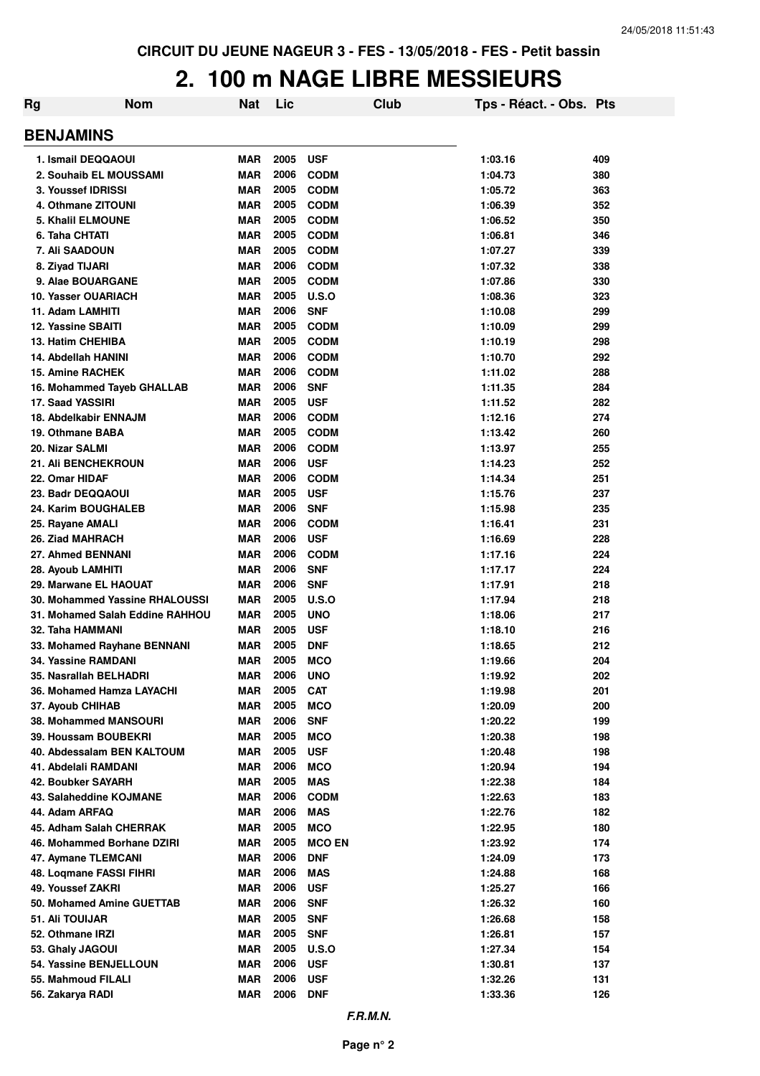### **2. 100 m NAGE LIBRE MESSIEURS**

| Rg                                        | <b>Nom</b>                      | <b>Nat</b>               | Lic          |                           | <b>Club</b> | Tps - Réact. - Obs. Pts |            |
|-------------------------------------------|---------------------------------|--------------------------|--------------|---------------------------|-------------|-------------------------|------------|
| <b>BENJAMINS</b>                          |                                 |                          |              |                           |             |                         |            |
| 1. Ismail DEQQAOUI                        |                                 | <b>MAR</b>               | 2005         | <b>USF</b>                |             | 1:03.16                 | 409        |
| 2. Souhaib EL MOUSSAMI                    |                                 | <b>MAR</b>               | 2006         | <b>CODM</b>               |             | 1:04.73                 | 380        |
| 3. Youssef IDRISSI                        |                                 | <b>MAR</b>               | 2005         | <b>CODM</b>               |             | 1:05.72                 | 363        |
| 4. Othmane ZITOUNI                        |                                 | <b>MAR</b>               | 2005         | <b>CODM</b>               |             | 1:06.39                 | 352        |
| 5. Khalil ELMOUNE                         |                                 | <b>MAR</b>               | 2005         | <b>CODM</b>               |             | 1:06.52                 | 350        |
| 6. Taha CHTATI                            |                                 | <b>MAR</b>               | 2005         | <b>CODM</b>               |             | 1:06.81                 | 346        |
| 7. Ali SAADOUN                            |                                 | <b>MAR</b>               | 2005         | <b>CODM</b>               |             | 1:07.27                 | 339        |
| 8. Ziyad TIJARI                           |                                 | <b>MAR</b>               | 2006         | <b>CODM</b>               |             | 1:07.32                 | 338        |
| 9. Alae BOUARGANE                         |                                 | <b>MAR</b>               | 2005         | <b>CODM</b>               |             | 1:07.86                 | 330        |
| 10. Yasser OUARIACH                       |                                 | <b>MAR</b>               | 2005<br>2006 | U.S.O                     |             | 1:08.36                 | 323        |
| 11. Adam LAMHITI<br>12. Yassine SBAITI    |                                 | <b>MAR</b><br><b>MAR</b> | 2005         | <b>SNF</b><br><b>CODM</b> |             | 1:10.08                 | 299        |
| 13. Hatim CHEHIBA                         |                                 | <b>MAR</b>               | 2005         | <b>CODM</b>               |             | 1:10.09<br>1:10.19      | 299<br>298 |
| 14. Abdellah HANINI                       |                                 | <b>MAR</b>               | 2006         | <b>CODM</b>               |             | 1:10.70                 | 292        |
| <b>15. Amine RACHEK</b>                   |                                 | <b>MAR</b>               | 2006         | <b>CODM</b>               |             | 1:11.02                 | 288        |
| 16. Mohammed Tayeb GHALLAB                |                                 | <b>MAR</b>               | 2006         | <b>SNF</b>                |             | 1:11.35                 | 284        |
| 17. Saad YASSIRI                          |                                 | <b>MAR</b>               | 2005         | <b>USF</b>                |             | 1:11.52                 | 282        |
| 18. Abdelkabir ENNAJM                     |                                 | <b>MAR</b>               | 2006         | <b>CODM</b>               |             | 1:12.16                 | 274        |
| 19. Othmane BABA                          |                                 | <b>MAR</b>               | 2005         | <b>CODM</b>               |             | 1:13.42                 | 260        |
| 20. Nizar SALMI                           |                                 | <b>MAR</b>               | 2006         | <b>CODM</b>               |             | 1:13.97                 | 255        |
| <b>21. Ali BENCHEKROUN</b>                |                                 | <b>MAR</b>               | 2006         | <b>USF</b>                |             | 1:14.23                 | 252        |
| 22. Omar HIDAF                            |                                 | <b>MAR</b>               | 2006         | <b>CODM</b>               |             | 1:14.34                 | 251        |
| 23. Badr DEQQAOUI                         |                                 | <b>MAR</b>               | 2005         | <b>USF</b>                |             | 1:15.76                 | 237        |
| 24. Karim BOUGHALEB                       |                                 | <b>MAR</b>               | 2006         | <b>SNF</b>                |             | 1:15.98                 | 235        |
| 25. Rayane AMALI                          |                                 | <b>MAR</b>               | 2006         | <b>CODM</b>               |             | 1:16.41                 | 231        |
| 26. Ziad MAHRACH                          |                                 | <b>MAR</b>               | 2006         | <b>USF</b>                |             | 1:16.69                 | 228        |
| 27. Ahmed BENNANI                         |                                 | <b>MAR</b>               | 2006         | <b>CODM</b>               |             | 1:17.16                 | 224        |
| 28. Ayoub LAMHITI                         |                                 | <b>MAR</b>               | 2006<br>2006 | <b>SNF</b>                |             | 1:17.17                 | 224        |
| 29. Marwane EL HAOUAT                     | 30. Mohammed Yassine RHALOUSSI  | <b>MAR</b><br><b>MAR</b> | 2005         | <b>SNF</b><br>U.S.O       |             | 1:17.91<br>1:17.94      | 218<br>218 |
|                                           | 31. Mohamed Salah Eddine RAHHOU | <b>MAR</b>               | 2005         | <b>UNO</b>                |             | 1:18.06                 | 217        |
| 32. Taha HAMMANI                          |                                 | <b>MAR</b>               | 2005         | <b>USF</b>                |             | 1:18.10                 | 216        |
| 33. Mohamed Rayhane BENNANI               |                                 | <b>MAR</b>               | 2005         | <b>DNF</b>                |             | 1:18.65                 | 212        |
| 34. Yassine RAMDANI                       |                                 | <b>MAR</b>               | 2005         | <b>MCO</b>                |             | 1:19.66                 | 204        |
| 35. Nasrallah BELHADRI                    |                                 | <b>MAR</b>               | 2006         | <b>UNO</b>                |             | 1:19.92                 | 202        |
| 36. Mohamed Hamza LAYACHI                 |                                 | <b>MAR</b>               | 2005         | <b>CAT</b>                |             | 1:19.98                 | 201        |
| 37. Ayoub CHIHAB                          |                                 | <b>MAR</b>               | 2005         | <b>MCO</b>                |             | 1:20.09                 | 200        |
| 38. Mohammed MANSOURI                     |                                 | <b>MAR</b>               | 2006         | <b>SNF</b>                |             | 1:20.22                 | 199        |
| 39. Houssam BOUBEKRI                      |                                 | <b>MAR</b>               | 2005         | <b>MCO</b>                |             | 1:20.38                 | 198        |
| 40. Abdessalam BEN KALTOUM                |                                 | <b>MAR</b>               | 2005         | <b>USF</b>                |             | 1:20.48                 | 198        |
| 41. Abdelali RAMDANI                      |                                 | <b>MAR</b>               | 2006         | <b>MCO</b>                |             | 1:20.94                 | 194        |
| 42. Boubker SAYARH                        |                                 | <b>MAR</b>               | 2005<br>2006 | <b>MAS</b>                |             | 1:22.38                 | 184        |
| 43. Salaheddine KOJMANE<br>44. Adam ARFAQ |                                 | <b>MAR</b><br><b>MAR</b> | 2006         | <b>CODM</b><br><b>MAS</b> |             | 1:22.63<br>1:22.76      | 183<br>182 |
| 45. Adham Salah CHERRAK                   |                                 | <b>MAR</b>               | 2005         | <b>MCO</b>                |             | 1:22.95                 | 180        |
| 46. Mohammed Borhane DZIRI                |                                 | <b>MAR</b>               | 2005         | <b>MCO EN</b>             |             | 1:23.92                 | 174        |
| 47. Aymane TLEMCANI                       |                                 | <b>MAR</b>               | 2006         | <b>DNF</b>                |             | 1:24.09                 | 173        |
| 48. Logmane FASSI FIHRI                   |                                 | <b>MAR</b>               | 2006         | <b>MAS</b>                |             | 1:24.88                 | 168        |
| 49. Youssef ZAKRI                         |                                 | <b>MAR</b>               | 2006         | <b>USF</b>                |             | 1:25.27                 | 166        |
| 50. Mohamed Amine GUETTAB                 |                                 | <b>MAR</b>               | 2006         | <b>SNF</b>                |             | 1:26.32                 | 160        |
| 51. Ali TOUIJAR                           |                                 | <b>MAR</b>               | 2005         | <b>SNF</b>                |             | 1:26.68                 | 158        |
| 52. Othmane IRZI                          |                                 | <b>MAR</b>               | 2005         | <b>SNF</b>                |             | 1:26.81                 | 157        |
| 53. Ghaly JAGOUI                          |                                 | <b>MAR</b>               | 2005         | <b>U.S.O</b>              |             | 1:27.34                 | 154        |
| 54. Yassine BENJELLOUN                    |                                 | <b>MAR</b>               | 2006         | <b>USF</b>                |             | 1:30.81                 | 137        |
| 55. Mahmoud FILALI                        |                                 | <b>MAR</b>               | 2006         | <b>USF</b>                |             | 1:32.26                 | 131        |
| 56. Zakarya RADI                          |                                 | <b>MAR</b>               | 2006         | <b>DNF</b>                |             | 1:33.36                 | 126        |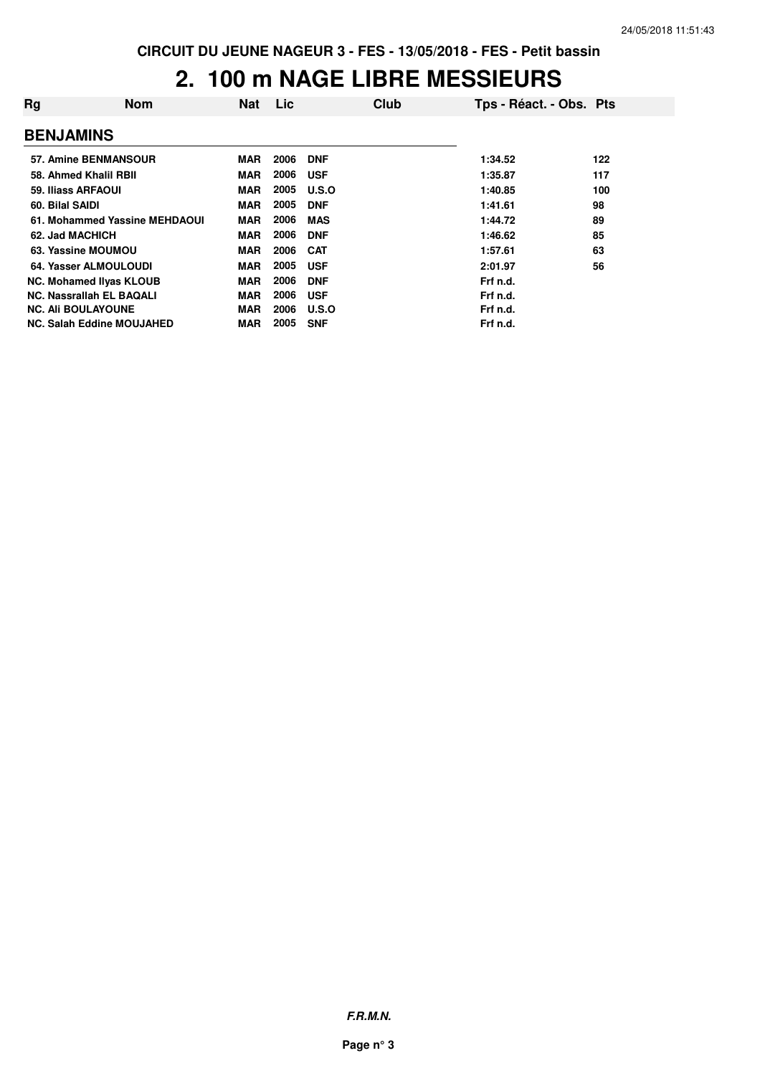### **2. 100 m NAGE LIBRE MESSIEURS**

| Rg                        | <b>Nom</b>                       | <b>Nat</b> | Lic  | Club       | Tps - Réact. - Obs. Pts |     |
|---------------------------|----------------------------------|------------|------|------------|-------------------------|-----|
| <b>BENJAMINS</b>          |                                  |            |      |            |                         |     |
|                           | 57. Amine BENMANSOUR             | <b>MAR</b> | 2006 | <b>DNF</b> | 1:34.52                 | 122 |
|                           | 58. Ahmed Khalil RBII            | <b>MAR</b> | 2006 | <b>USF</b> | 1:35.87                 | 117 |
| 59. Iliass ARFAOUI        |                                  | <b>MAR</b> | 2005 | U.S.O      | 1:40.85                 | 100 |
| 60. Bilal SAIDI           |                                  | <b>MAR</b> | 2005 | <b>DNF</b> | 1:41.61                 | 98  |
|                           | 61. Mohammed Yassine MEHDAOUI    | <b>MAR</b> | 2006 | <b>MAS</b> | 1:44.72                 | 89  |
| 62. Jad MACHICH           |                                  | <b>MAR</b> | 2006 | <b>DNF</b> | 1:46.62                 | 85  |
|                           | 63. Yassine MOUMOU               | <b>MAR</b> | 2006 | <b>CAT</b> | 1:57.61                 | 63  |
|                           | 64. Yasser ALMOULOUDI            | <b>MAR</b> | 2005 | <b>USF</b> | 2:01.97                 | 56  |
|                           | <b>NC. Mohamed Ilyas KLOUB</b>   | <b>MAR</b> | 2006 | <b>DNF</b> | Frf n.d.                |     |
|                           | NC. Nassrallah EL BAQALI         | <b>MAR</b> | 2006 | <b>USF</b> | Frf n.d.                |     |
| <b>NC. Ali BOULAYOUNE</b> |                                  | <b>MAR</b> | 2006 | U.S.O      | Frf n.d.                |     |
|                           | <b>NC. Salah Eddine MOUJAHED</b> | <b>MAR</b> | 2005 | <b>SNF</b> | Frf n.d.                |     |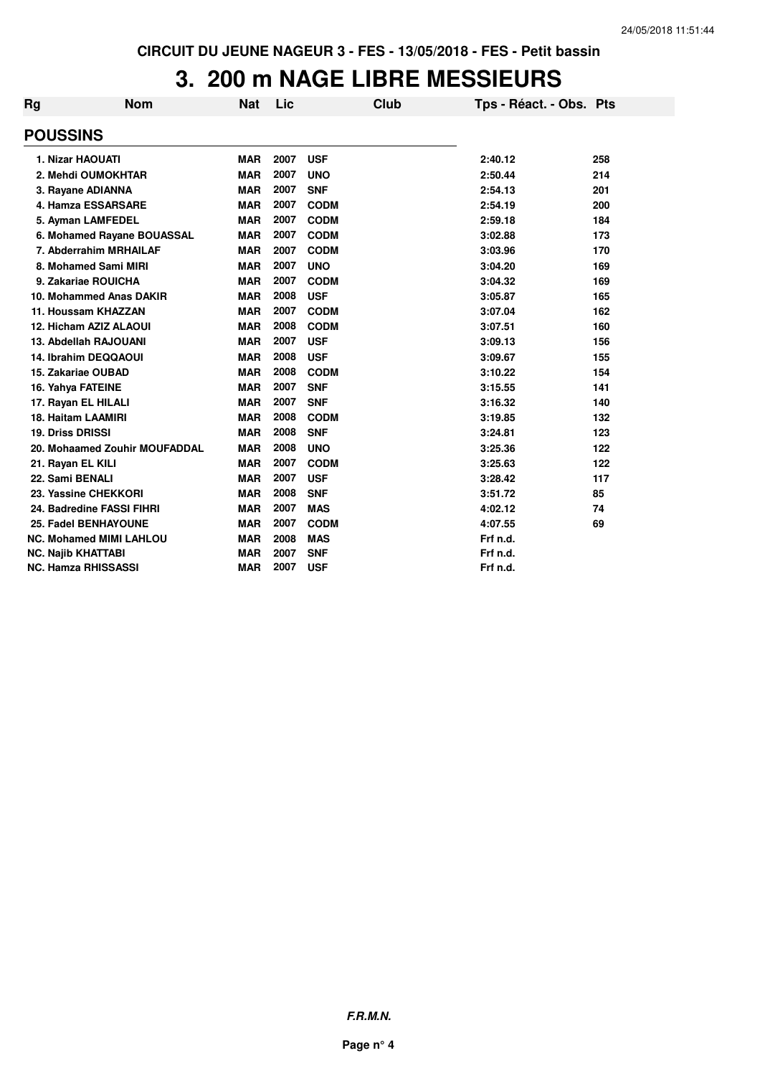### **3. 200 m NAGE LIBRE MESSIEURS**

| <b>Rg</b> | <b>Nom</b>                     | <b>Nat</b> | Lic  | <b>Club</b> | Tps - Réact. - Obs. Pts |     |
|-----------|--------------------------------|------------|------|-------------|-------------------------|-----|
|           | <b>POUSSINS</b>                |            |      |             |                         |     |
|           | 1. Nizar HAOUATI               | <b>MAR</b> | 2007 | <b>USF</b>  | 2:40.12                 | 258 |
|           | 2. Mehdi OUMOKHTAR             | <b>MAR</b> | 2007 | <b>UNO</b>  | 2:50.44                 | 214 |
|           | 3. Rayane ADIANNA              | <b>MAR</b> | 2007 | <b>SNF</b>  | 2:54.13                 | 201 |
|           | 4. Hamza ESSARSARE             | <b>MAR</b> | 2007 | <b>CODM</b> | 2:54.19                 | 200 |
|           | 5. Ayman LAMFEDEL              | <b>MAR</b> | 2007 | <b>CODM</b> | 2:59.18                 | 184 |
|           | 6. Mohamed Rayane BOUASSAL     | <b>MAR</b> | 2007 | <b>CODM</b> | 3:02.88                 | 173 |
|           | 7. Abderrahim MRHAILAF         | <b>MAR</b> | 2007 | <b>CODM</b> | 3:03.96                 | 170 |
|           | 8. Mohamed Sami MIRI           | <b>MAR</b> | 2007 | <b>UNO</b>  | 3:04.20                 | 169 |
|           | 9. Zakariae ROUICHA            | <b>MAR</b> | 2007 | <b>CODM</b> | 3:04.32                 | 169 |
|           | 10. Mohammed Anas DAKIR        | <b>MAR</b> | 2008 | <b>USF</b>  | 3:05.87                 | 165 |
|           | 11. Houssam KHAZZAN            | <b>MAR</b> | 2007 | <b>CODM</b> | 3:07.04                 | 162 |
|           | 12. Hicham AZIZ ALAOUI         | <b>MAR</b> | 2008 | <b>CODM</b> | 3:07.51                 | 160 |
|           | 13. Abdellah RAJOUANI          | <b>MAR</b> | 2007 | <b>USF</b>  | 3:09.13                 | 156 |
|           | 14. Ibrahim DEQQAOUI           | <b>MAR</b> | 2008 | <b>USF</b>  | 3:09.67                 | 155 |
|           | 15. Zakariae OUBAD             | <b>MAR</b> | 2008 | <b>CODM</b> | 3:10.22                 | 154 |
|           | 16. Yahya FATEINE              | <b>MAR</b> | 2007 | <b>SNF</b>  | 3:15.55                 | 141 |
|           | 17. Rayan EL HILALI            | <b>MAR</b> | 2007 | <b>SNF</b>  | 3:16.32                 | 140 |
|           | <b>18. Haitam LAAMIRI</b>      | <b>MAR</b> | 2008 | <b>CODM</b> | 3:19.85                 | 132 |
|           | <b>19. Driss DRISSI</b>        | <b>MAR</b> | 2008 | <b>SNF</b>  | 3:24.81                 | 123 |
|           | 20. Mohaamed Zouhir MOUFADDAL  | <b>MAR</b> | 2008 | <b>UNO</b>  | 3:25.36                 | 122 |
|           | 21. Rayan EL KILI              | <b>MAR</b> | 2007 | <b>CODM</b> | 3:25.63                 | 122 |
|           | 22. Sami BENALI                | <b>MAR</b> | 2007 | <b>USF</b>  | 3:28.42                 | 117 |
|           | 23. Yassine CHEKKORI           | <b>MAR</b> | 2008 | <b>SNF</b>  | 3:51.72                 | 85  |
|           | 24. Badredine FASSI FIHRI      | <b>MAR</b> | 2007 | <b>MAS</b>  | 4:02.12                 | 74  |
|           | 25. Fadel BENHAYOUNE           | <b>MAR</b> | 2007 | <b>CODM</b> | 4:07.55                 | 69  |
|           | <b>NC. Mohamed MIMI LAHLOU</b> | <b>MAR</b> | 2008 | <b>MAS</b>  | Frf n.d.                |     |
|           | <b>NC. Najib KHATTABI</b>      | <b>MAR</b> | 2007 | <b>SNF</b>  | Frf n.d.                |     |
|           | <b>NC. Hamza RHISSASSI</b>     | <b>MAR</b> | 2007 | <b>USF</b>  | Frf n.d.                |     |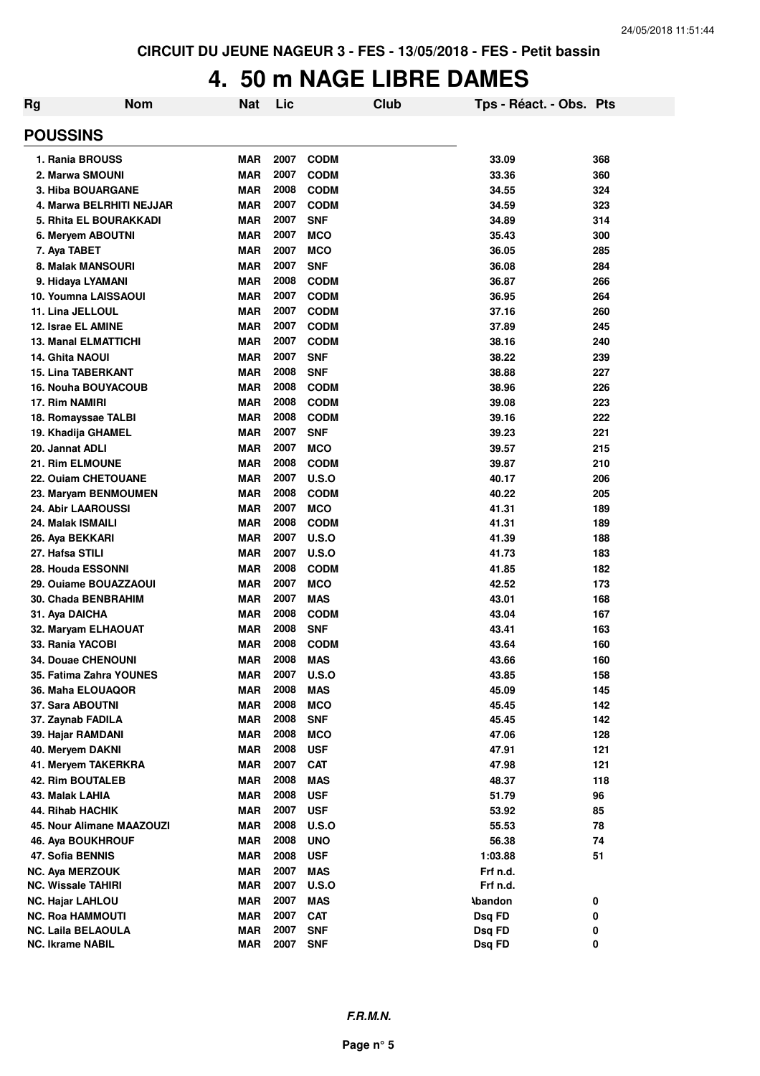### **4. 50 m NAGE LIBRE DAMES**

| <b>Rg</b> | <b>Nom</b>                    | <b>Nat</b> | Lic  |              | <b>Club</b> | Tps - Réact. - Obs. Pts |     |
|-----------|-------------------------------|------------|------|--------------|-------------|-------------------------|-----|
|           | <b>POUSSINS</b>               |            |      |              |             |                         |     |
|           | 1. Rania BROUSS               | <b>MAR</b> | 2007 | <b>CODM</b>  |             | 33.09                   | 368 |
|           | 2. Marwa SMOUNI               | <b>MAR</b> | 2007 | <b>CODM</b>  |             | 33.36                   | 360 |
|           | <b>3. Hiba BOUARGANE</b>      | <b>MAR</b> | 2008 | <b>CODM</b>  |             | 34.55                   | 324 |
|           | 4. Marwa BELRHITI NEJJAR      | <b>MAR</b> | 2007 | <b>CODM</b>  |             | 34.59                   | 323 |
|           | <b>5. Rhita EL BOURAKKADI</b> | <b>MAR</b> | 2007 | <b>SNF</b>   |             | 34.89                   | 314 |
|           | 6. Meryem ABOUTNI             | <b>MAR</b> | 2007 | <b>MCO</b>   |             | 35.43                   | 300 |
|           | 7. Aya TABET                  | <b>MAR</b> | 2007 | <b>MCO</b>   |             | 36.05                   | 285 |
|           | 8. Malak MANSOURI             | <b>MAR</b> | 2007 | <b>SNF</b>   |             | 36.08                   | 284 |
|           | 9. Hidaya LYAMANI             | <b>MAR</b> | 2008 | <b>CODM</b>  |             | 36.87                   | 266 |
|           | 10. Youmna LAISSAOUI          | <b>MAR</b> | 2007 | <b>CODM</b>  |             | 36.95                   | 264 |
|           | 11. Lina JELLOUL              | <b>MAR</b> | 2007 | <b>CODM</b>  |             | 37.16                   | 260 |
|           | 12. Israe EL AMINE            | <b>MAR</b> | 2007 | <b>CODM</b>  |             | 37.89                   | 245 |
|           | <b>13. Manal ELMATTICHI</b>   | <b>MAR</b> | 2007 | <b>CODM</b>  |             | 38.16                   | 240 |
|           | <b>14. Ghita NAOUI</b>        | <b>MAR</b> | 2007 | <b>SNF</b>   |             | 38.22                   | 239 |
|           | <b>15. Lina TABERKANT</b>     | <b>MAR</b> | 2008 | <b>SNF</b>   |             | 38.88                   | 227 |
|           | <b>16. Nouha BOUYACOUB</b>    | <b>MAR</b> | 2008 | <b>CODM</b>  |             | 38.96                   | 226 |
|           | 17. Rim NAMIRI                | <b>MAR</b> | 2008 | <b>CODM</b>  |             | 39.08                   | 223 |
|           | 18. Romayssae TALBI           | <b>MAR</b> | 2008 | <b>CODM</b>  |             | 39.16                   | 222 |
|           | 19. Khadija GHAMEL            | <b>MAR</b> | 2007 | <b>SNF</b>   |             | 39.23                   | 221 |
|           | 20. Jannat ADLI               | <b>MAR</b> | 2007 | <b>MCO</b>   |             | 39.57                   | 215 |
|           | 21. Rim ELMOUNE               | <b>MAR</b> | 2008 | <b>CODM</b>  |             | 39.87                   | 210 |
|           | 22. Ouiam CHETOUANE           | <b>MAR</b> | 2007 | <b>U.S.O</b> |             | 40.17                   | 206 |
|           | 23. Maryam BENMOUMEN          | <b>MAR</b> | 2008 | <b>CODM</b>  |             | 40.22                   | 205 |
|           | <b>24. Abir LAAROUSSI</b>     | <b>MAR</b> | 2007 | <b>MCO</b>   |             | 41.31                   | 189 |
|           | 24. Malak ISMAILI             | <b>MAR</b> | 2008 | <b>CODM</b>  |             | 41.31                   | 189 |
|           | 26. Aya BEKKARI               | <b>MAR</b> | 2007 | U.S.O        |             | 41.39                   | 188 |
|           | 27. Hafsa STILI               | <b>MAR</b> | 2007 | U.S.O        |             | 41.73                   | 183 |
|           | 28. Houda ESSONNI             | <b>MAR</b> | 2008 | <b>CODM</b>  |             | 41.85                   | 182 |
|           | 29. Ouiame BOUAZZAOUI         | <b>MAR</b> | 2007 | <b>MCO</b>   |             | 42.52                   | 173 |
|           | 30. Chada BENBRAHIM           | <b>MAR</b> | 2007 | <b>MAS</b>   |             | 43.01                   | 168 |
|           | 31. Aya DAICHA                | <b>MAR</b> | 2008 | <b>CODM</b>  |             | 43.04                   | 167 |
|           | 32. Maryam ELHAOUAT           | <b>MAR</b> | 2008 | <b>SNF</b>   |             | 43.41                   | 163 |
|           | 33. Rania YACOBI              | <b>MAR</b> | 2008 | <b>CODM</b>  |             | 43.64                   | 160 |
|           | <b>34. Douae CHENOUNI</b>     | <b>MAR</b> | 2008 | <b>MAS</b>   |             | 43.66                   | 160 |
|           | 35. Fatima Zahra YOUNES       | <b>MAR</b> | 2007 | U.S.O        |             | 43.85                   | 158 |
|           | 36. Maha ELOUAQOR             | <b>MAR</b> | 2008 | <b>MAS</b>   |             | 45.09                   | 145 |
|           | 37. Sara ABOUTNI              | <b>MAR</b> | 2008 | <b>MCO</b>   |             | 45.45                   | 142 |
|           | 37. Zaynab FADILA             | <b>MAR</b> | 2008 | <b>SNF</b>   |             | 45.45                   | 142 |
|           | 39. Hajar RAMDANI             | <b>MAR</b> | 2008 | <b>MCO</b>   |             | 47.06                   | 128 |
|           | 40. Meryem DAKNI              | <b>MAR</b> | 2008 | <b>USF</b>   |             | 47.91                   | 121 |
|           | 41. Meryem TAKERKRA           | <b>MAR</b> | 2007 | <b>CAT</b>   |             | 47.98                   | 121 |
|           | <b>42. Rim BOUTALEB</b>       | <b>MAR</b> | 2008 | <b>MAS</b>   |             | 48.37                   | 118 |
|           | 43. Malak LAHIA               | <b>MAR</b> | 2008 | <b>USF</b>   |             | 51.79                   | 96  |
|           | <b>44. Rihab HACHIK</b>       | <b>MAR</b> | 2007 | <b>USF</b>   |             | 53.92                   | 85  |
|           | 45. Nour Alimane MAAZOUZI     | <b>MAR</b> | 2008 | U.S.O        |             | 55.53                   | 78  |
|           | 46. Aya BOUKHROUF             | <b>MAR</b> | 2008 | <b>UNO</b>   |             | 56.38                   | 74  |
|           | 47. Sofia BENNIS              | <b>MAR</b> | 2008 | <b>USF</b>   |             | 1:03.88                 | 51  |
|           | NC. Aya MERZOUK               | <b>MAR</b> | 2007 | <b>MAS</b>   |             | Frf n.d.                |     |
|           | <b>NC. Wissale TAHIRI</b>     | <b>MAR</b> | 2007 | <b>U.S.O</b> |             | Frf n.d.                |     |
|           | <b>NC. Hajar LAHLOU</b>       | <b>MAR</b> | 2007 | <b>MAS</b>   |             | <b>Abandon</b>          | 0   |
|           | <b>NC. Roa HAMMOUTI</b>       | <b>MAR</b> | 2007 | <b>CAT</b>   |             | Dsq FD                  | 0   |
|           | <b>NC. Laila BELAOULA</b>     | <b>MAR</b> | 2007 | <b>SNF</b>   |             | Dsq FD                  | 0   |
|           | NC. Ikrame NABIL              | <b>MAR</b> | 2007 | <b>SNF</b>   |             | Dsq FD                  | 0   |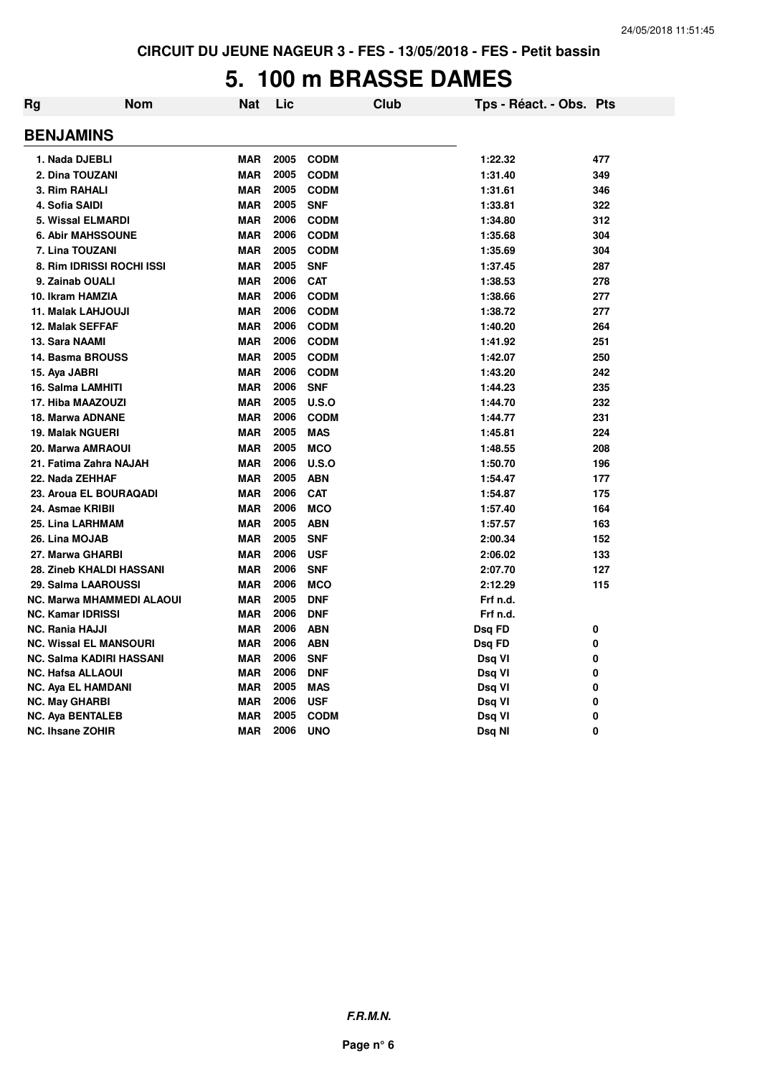#### **5. 100 m BRASSE DAMES**

| Rg | <b>Nom</b>                       | <b>Nat</b> | Lic  | <b>Club</b> | Tps - Réact. - Obs. Pts |     |
|----|----------------------------------|------------|------|-------------|-------------------------|-----|
|    | <b>BENJAMINS</b>                 |            |      |             |                         |     |
|    | 1. Nada DJEBLI                   | <b>MAR</b> | 2005 | <b>CODM</b> | 1:22.32                 | 477 |
|    | 2. Dina TOUZANI                  | <b>MAR</b> | 2005 | <b>CODM</b> | 1:31.40                 | 349 |
|    | 3. Rim RAHALI                    | <b>MAR</b> | 2005 | <b>CODM</b> | 1:31.61                 | 346 |
|    | 4. Sofia SAIDI                   | <b>MAR</b> | 2005 | <b>SNF</b>  | 1:33.81                 | 322 |
|    | <b>5. Wissal ELMARDI</b>         | <b>MAR</b> | 2006 | <b>CODM</b> | 1:34.80                 | 312 |
|    | 6. Abir MAHSSOUNE                | <b>MAR</b> | 2006 | <b>CODM</b> | 1:35.68                 | 304 |
|    | 7. Lina TOUZANI                  | <b>MAR</b> | 2005 | <b>CODM</b> | 1:35.69                 | 304 |
|    | 8. Rim IDRISSI ROCHI ISSI        | <b>MAR</b> | 2005 | <b>SNF</b>  | 1:37.45                 | 287 |
|    | 9. Zainab OUALI                  | <b>MAR</b> | 2006 | <b>CAT</b>  | 1:38.53                 | 278 |
|    | 10. Ikram HAMZIA                 | <b>MAR</b> | 2006 | <b>CODM</b> | 1:38.66                 | 277 |
|    | 11. Malak LAHJOUJI               | <b>MAR</b> | 2006 | <b>CODM</b> | 1:38.72                 | 277 |
|    | <b>12. Malak SEFFAF</b>          | <b>MAR</b> | 2006 | <b>CODM</b> | 1:40.20                 | 264 |
|    | 13. Sara NAAMI                   | <b>MAR</b> | 2006 | <b>CODM</b> | 1:41.92                 | 251 |
|    | 14. Basma BROUSS                 | <b>MAR</b> | 2005 | <b>CODM</b> | 1:42.07                 | 250 |
|    | 15. Aya JABRI                    | <b>MAR</b> | 2006 | <b>CODM</b> | 1:43.20                 | 242 |
|    | 16. Salma LAMHITI                | <b>MAR</b> | 2006 | <b>SNF</b>  | 1:44.23                 | 235 |
|    | 17. Hiba MAAZOUZI                | <b>MAR</b> | 2005 | U.S.O       | 1:44.70                 | 232 |
|    | 18. Marwa ADNANE                 | <b>MAR</b> | 2006 | <b>CODM</b> | 1:44.77                 | 231 |
|    | <b>19. Malak NGUERI</b>          | <b>MAR</b> | 2005 | <b>MAS</b>  | 1:45.81                 | 224 |
|    | 20. Marwa AMRAOUI                | <b>MAR</b> | 2005 | <b>MCO</b>  | 1:48.55                 | 208 |
|    | 21. Fatima Zahra NAJAH           | <b>MAR</b> | 2006 | U.S.O       | 1:50.70                 | 196 |
|    | 22. Nada ZEHHAF                  | <b>MAR</b> | 2005 | <b>ABN</b>  | 1:54.47                 | 177 |
|    | 23. Aroua EL BOURAQADI           | <b>MAR</b> | 2006 | <b>CAT</b>  | 1:54.87                 | 175 |
|    | 24. Asmae KRIBII                 | <b>MAR</b> | 2006 | <b>MCO</b>  | 1:57.40                 | 164 |
|    | 25. Lina LARHMAM                 | <b>MAR</b> | 2005 | <b>ABN</b>  | 1:57.57                 | 163 |
|    | 26. Lina MOJAB                   | <b>MAR</b> | 2005 | <b>SNF</b>  | 2:00.34                 | 152 |
|    | 27. Marwa GHARBI                 | <b>MAR</b> | 2006 | <b>USF</b>  | 2:06.02                 | 133 |
|    | 28. Zineb KHALDI HASSANI         | <b>MAR</b> | 2006 | <b>SNF</b>  | 2:07.70                 | 127 |
|    | 29. Salma LAAROUSSI              | <b>MAR</b> | 2006 | <b>MCO</b>  | 2:12.29                 | 115 |
|    | <b>NC. Marwa MHAMMEDI ALAOUI</b> | <b>MAR</b> | 2005 | <b>DNF</b>  | Frf n.d.                |     |
|    | <b>NC. Kamar IDRISSI</b>         | <b>MAR</b> | 2006 | <b>DNF</b>  | Frf n.d.                |     |
|    | <b>NC. Rania HAJJI</b>           | <b>MAR</b> | 2006 | <b>ABN</b>  | Dsq FD                  | 0   |
|    | <b>NC. Wissal EL MANSOURI</b>    | <b>MAR</b> | 2006 | <b>ABN</b>  | Dsq FD                  | 0   |
|    | <b>NC. Salma KADIRI HASSANI</b>  | <b>MAR</b> | 2006 | <b>SNF</b>  | Dsq VI                  | 0   |
|    | <b>NC. Hafsa ALLAOUI</b>         | <b>MAR</b> | 2006 | <b>DNF</b>  | Dsq VI                  | 0   |
|    | <b>NC. Aya EL HAMDANI</b>        | <b>MAR</b> | 2005 | <b>MAS</b>  | Dsq VI                  | 0   |
|    | <b>NC. May GHARBI</b>            | <b>MAR</b> | 2006 | <b>USF</b>  | Dsq VI                  | 0   |
|    | <b>NC. Aya BENTALEB</b>          | <b>MAR</b> | 2005 | <b>CODM</b> | Dsq VI                  | 0   |
|    | <b>NC. Ihsane ZOHIR</b>          | <b>MAR</b> | 2006 | <b>UNO</b>  | Dsq NI                  | 0   |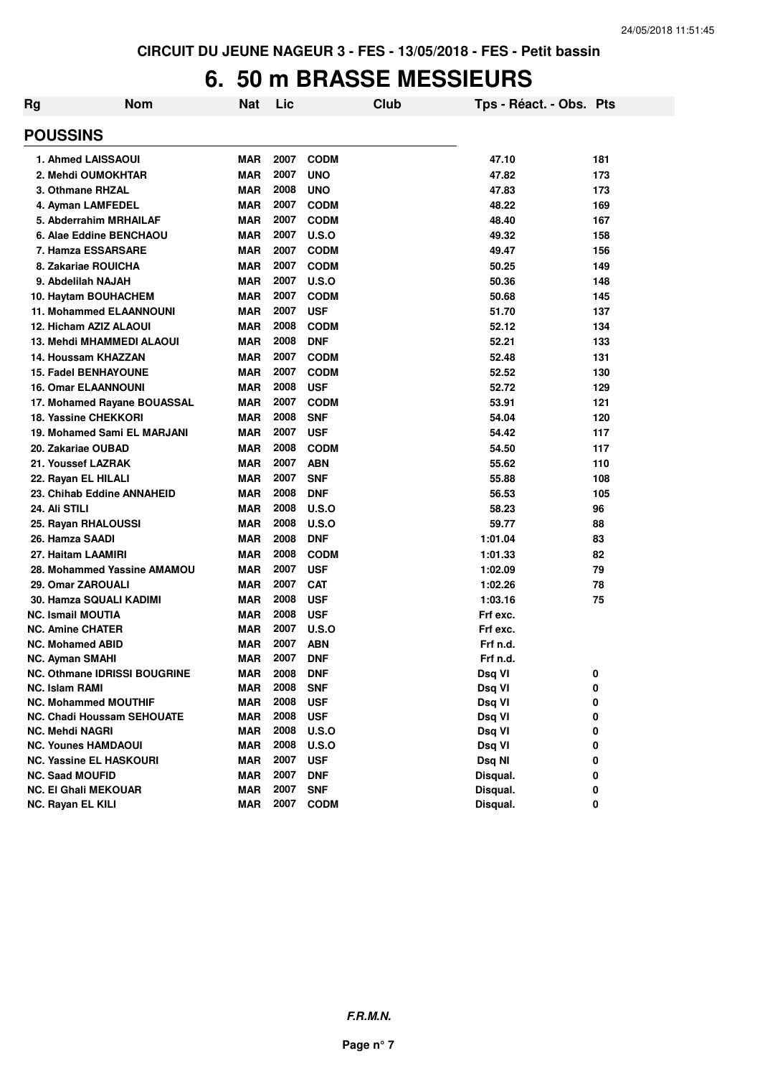#### **6. 50 m BRASSE MESSIEURS**

| Rg | <b>Nom</b>                          | <b>Nat</b> | Lic  | Club         | Tps - Réact. - Obs. Pts |     |
|----|-------------------------------------|------------|------|--------------|-------------------------|-----|
|    | <b>POUSSINS</b>                     |            |      |              |                         |     |
|    | 1. Ahmed LAISSAOUI                  | <b>MAR</b> | 2007 | <b>CODM</b>  | 47.10                   | 181 |
|    | 2. Mehdi OUMOKHTAR                  | <b>MAR</b> | 2007 | <b>UNO</b>   | 47.82                   | 173 |
|    | 3. Othmane RHZAL                    | <b>MAR</b> | 2008 | <b>UNO</b>   | 47.83                   | 173 |
|    | 4. Ayman LAMFEDEL                   | <b>MAR</b> | 2007 | <b>CODM</b>  | 48.22                   | 169 |
|    | 5. Abderrahim MRHAILAF              | <b>MAR</b> | 2007 | <b>CODM</b>  | 48.40                   | 167 |
|    | 6. Alae Eddine BENCHAOU             | <b>MAR</b> | 2007 | <b>U.S.O</b> | 49.32                   | 158 |
|    | 7. Hamza ESSARSARE                  | <b>MAR</b> | 2007 | <b>CODM</b>  | 49.47                   | 156 |
|    | 8. Zakariae ROUICHA                 | <b>MAR</b> | 2007 | <b>CODM</b>  | 50.25                   | 149 |
|    | 9. Abdelilah NAJAH                  | <b>MAR</b> | 2007 | U.S.O        | 50.36                   | 148 |
|    | 10. Haytam BOUHACHEM                | <b>MAR</b> | 2007 | <b>CODM</b>  | 50.68                   | 145 |
|    | <b>11. Mohammed ELAANNOUNI</b>      | <b>MAR</b> | 2007 | <b>USF</b>   | 51.70                   | 137 |
|    | 12. Hicham AZIZ ALAOUI              | <b>MAR</b> | 2008 | <b>CODM</b>  | 52.12                   | 134 |
|    | 13. Mehdi MHAMMEDI ALAOUI           | <b>MAR</b> | 2008 | <b>DNF</b>   | 52.21                   | 133 |
|    | 14. Houssam KHAZZAN                 | <b>MAR</b> | 2007 | <b>CODM</b>  | 52.48                   | 131 |
|    | <b>15. Fadel BENHAYOUNE</b>         | <b>MAR</b> | 2007 | <b>CODM</b>  | 52.52                   | 130 |
|    | <b>16. Omar ELAANNOUNI</b>          | <b>MAR</b> | 2008 | <b>USF</b>   | 52.72                   | 129 |
|    | 17. Mohamed Rayane BOUASSAL         | <b>MAR</b> | 2007 | <b>CODM</b>  | 53.91                   | 121 |
|    | <b>18. Yassine CHEKKORI</b>         | <b>MAR</b> | 2008 | <b>SNF</b>   | 54.04                   | 120 |
|    | 19. Mohamed Sami EL MARJANI         | <b>MAR</b> | 2007 | <b>USF</b>   | 54.42                   | 117 |
|    | 20. Zakariae OUBAD                  | <b>MAR</b> | 2008 | <b>CODM</b>  | 54.50                   | 117 |
|    | 21. Youssef LAZRAK                  | <b>MAR</b> | 2007 | <b>ABN</b>   | 55.62                   | 110 |
|    | 22. Rayan EL HILALI                 | <b>MAR</b> | 2007 | <b>SNF</b>   | 55.88                   | 108 |
|    | 23. Chihab Eddine ANNAHEID          | <b>MAR</b> | 2008 | <b>DNF</b>   | 56.53                   | 105 |
|    | 24. Ali STILI                       | <b>MAR</b> | 2008 | <b>U.S.O</b> | 58.23                   | 96  |
|    | 25. Rayan RHALOUSSI                 | <b>MAR</b> | 2008 | U.S.O        | 59.77                   | 88  |
|    | 26. Hamza SAADI                     | <b>MAR</b> | 2008 | <b>DNF</b>   | 1:01.04                 | 83  |
|    | 27. Haitam LAAMIRI                  | <b>MAR</b> | 2008 | <b>CODM</b>  | 1:01.33                 | 82  |
|    | 28. Mohammed Yassine AMAMOU         | <b>MAR</b> | 2007 | <b>USF</b>   | 1:02.09                 | 79  |
|    | 29. Omar ZAROUALI                   | <b>MAR</b> | 2007 | <b>CAT</b>   | 1:02.26                 | 78  |
|    | 30. Hamza SQUALI KADIMI             | <b>MAR</b> | 2008 | <b>USF</b>   | 1:03.16                 | 75  |
|    | <b>NC. Ismail MOUTIA</b>            | <b>MAR</b> | 2008 | <b>USF</b>   | Frf exc.                |     |
|    | <b>NC. Amine CHATER</b>             | <b>MAR</b> | 2007 | U.S.O        | Frf exc.                |     |
|    | <b>NC. Mohamed ABID</b>             | <b>MAR</b> | 2007 | ABN          | Frf n.d.                |     |
|    | <b>NC. Ayman SMAHI</b>              | <b>MAR</b> | 2007 | <b>DNF</b>   | Frf n.d.                |     |
|    | <b>NC. Othmane IDRISSI BOUGRINE</b> | <b>MAR</b> | 2008 | <b>DNF</b>   | Dsq VI                  | 0   |
|    | <b>NC. Islam RAMI</b>               | <b>MAR</b> | 2008 | <b>SNF</b>   | Dsq VI                  | 0   |
|    | <b>NC. Mohammed MOUTHIF</b>         | <b>MAR</b> | 2008 | <b>USF</b>   | Dsq VI                  | 0   |
|    | <b>NC. Chadi Houssam SEHOUATE</b>   | <b>MAR</b> | 2008 | <b>USF</b>   | Dsq VI                  | 0   |
|    | <b>NC. Mehdi NAGRI</b>              | <b>MAR</b> | 2008 | U.S.O        | Dsq VI                  | 0   |
|    | <b>NC. Younes HAMDAOUI</b>          | <b>MAR</b> | 2008 | <b>U.S.O</b> | Dsq VI                  | 0   |
|    | <b>NC. Yassine EL HASKOURI</b>      | <b>MAR</b> | 2007 | <b>USF</b>   | Dsq NI                  | 0   |
|    | <b>NC. Saad MOUFID</b>              | <b>MAR</b> | 2007 | <b>DNF</b>   | Disqual.                | 0   |
|    | <b>NC. El Ghali MEKOUAR</b>         | <b>MAR</b> | 2007 | <b>SNF</b>   | Disqual.                | 0   |
|    | NC. Rayan EL KILI                   | <b>MAR</b> | 2007 | <b>CODM</b>  | Disqual.                | 0   |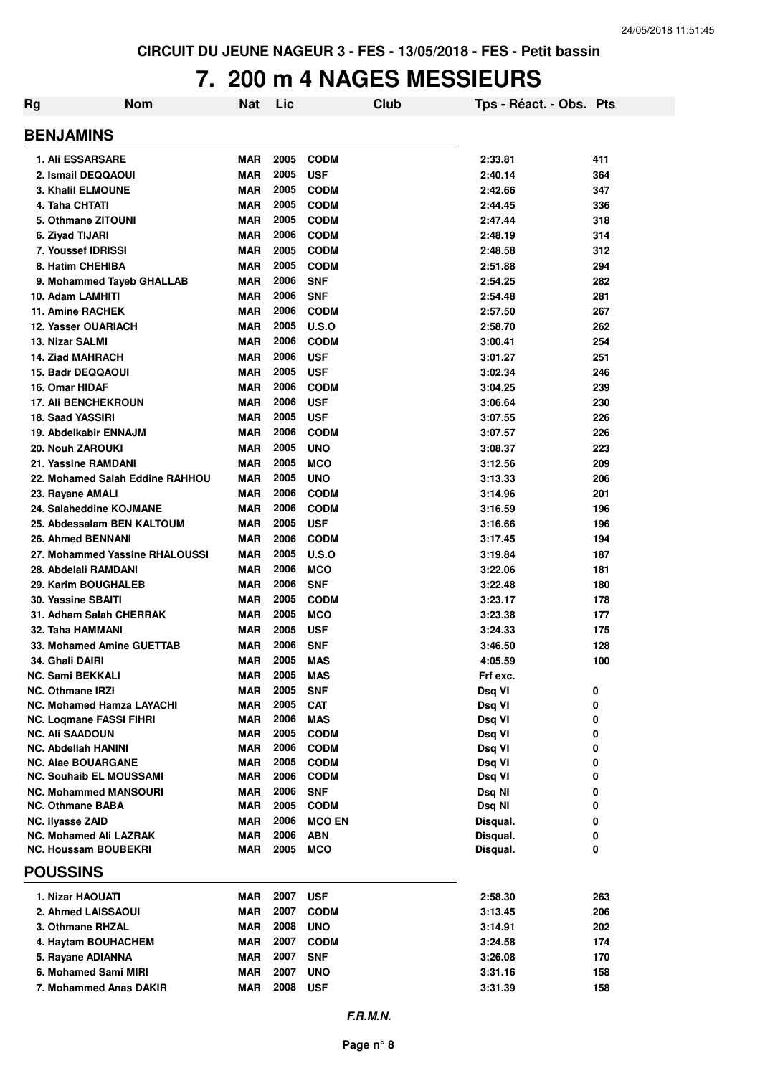### **7. 200 m 4 NAGES MESSIEURS**

| Rg | <b>Nom</b>                                              | Nat                      | Lic          |                           | Club | Tps - Réact. - Obs. Pts |            |
|----|---------------------------------------------------------|--------------------------|--------------|---------------------------|------|-------------------------|------------|
|    | <b>BENJAMINS</b>                                        |                          |              |                           |      |                         |            |
|    | <b>1. Ali ESSARSARE</b>                                 | <b>MAR</b>               | 2005         | <b>CODM</b>               |      | 2:33.81                 | 411        |
|    | 2. Ismail DEQQAOUI                                      | <b>MAR</b>               | 2005         | <b>USF</b>                |      | 2:40.14                 | 364        |
|    | <b>3. Khalil ELMOUNE</b>                                | <b>MAR</b>               | 2005         | <b>CODM</b>               |      | 2:42.66                 | 347        |
|    | 4. Taha CHTATI                                          | <b>MAR</b>               | 2005         | <b>CODM</b>               |      | 2:44.45                 | 336        |
|    | 5. Othmane ZITOUNI                                      | <b>MAR</b>               | 2005         | <b>CODM</b>               |      | 2:47.44                 | 318        |
|    | 6. Ziyad TIJARI                                         | <b>MAR</b>               | 2006         | <b>CODM</b>               |      | 2:48.19                 | 314        |
|    | 7. Youssef IDRISSI                                      | <b>MAR</b>               | 2005         | <b>CODM</b>               |      | 2:48.58                 | 312        |
|    | 8. Hatim CHEHIBA                                        | <b>MAR</b>               | 2005         | <b>CODM</b>               |      | 2:51.88                 | 294        |
|    | 9. Mohammed Tayeb GHALLAB                               | <b>MAR</b>               | 2006         | <b>SNF</b>                |      | 2:54.25                 | 282        |
|    | 10. Adam LAMHITI                                        | <b>MAR</b>               | 2006         | <b>SNF</b>                |      | 2:54.48                 | 281        |
|    | <b>11. Amine RACHEK</b>                                 | <b>MAR</b>               | 2006         | <b>CODM</b>               |      | 2:57.50                 | 267        |
|    | <b>12. Yasser OUARIACH</b>                              | <b>MAR</b>               | 2005         | U.S.O                     |      | 2:58.70                 | 262        |
|    | <b>13. Nizar SALMI</b><br><b>14. Ziad MAHRACH</b>       | <b>MAR</b>               | 2006<br>2006 | <b>CODM</b>               |      | 3:00.41                 | 254        |
|    | <b>15. Badr DEQQAOUI</b>                                | <b>MAR</b><br><b>MAR</b> | 2005         | <b>USF</b>                |      | 3:01.27                 | 251<br>246 |
|    | 16. Omar HIDAF                                          | <b>MAR</b>               | 2006         | <b>USF</b><br><b>CODM</b> |      | 3:02.34<br>3:04.25      | 239        |
|    | <b>17. Ali BENCHEKROUN</b>                              | <b>MAR</b>               | 2006         | <b>USF</b>                |      | 3:06.64                 | 230        |
|    | 18. Saad YASSIRI                                        | <b>MAR</b>               | 2005         | <b>USF</b>                |      | 3:07.55                 | 226        |
|    | 19. Abdelkabir ENNAJM                                   | <b>MAR</b>               | 2006         | <b>CODM</b>               |      | 3:07.57                 | 226        |
|    | 20. Nouh ZAROUKI                                        | <b>MAR</b>               | 2005         | <b>UNO</b>                |      | 3:08.37                 | 223        |
|    | 21. Yassine RAMDANI                                     | <b>MAR</b>               | 2005         | <b>MCO</b>                |      | 3:12.56                 | 209        |
|    | 22. Mohamed Salah Eddine RAHHOU                         | <b>MAR</b>               | 2005         | <b>UNO</b>                |      | 3:13.33                 | 206        |
|    | 23. Rayane AMALI                                        | <b>MAR</b>               | 2006         | <b>CODM</b>               |      | 3:14.96                 | 201        |
|    | 24. Salaheddine KOJMANE                                 | <b>MAR</b>               | 2006         | <b>CODM</b>               |      | 3:16.59                 | 196        |
|    | 25. Abdessalam BEN KALTOUM                              | <b>MAR</b>               | 2005         | <b>USF</b>                |      | 3:16.66                 | 196        |
|    | 26. Ahmed BENNANI                                       | <b>MAR</b>               | 2006         | <b>CODM</b>               |      | 3:17.45                 | 194        |
|    | 27. Mohammed Yassine RHALOUSSI                          | <b>MAR</b>               | 2005         | U.S.O                     |      | 3:19.84                 | 187        |
|    | 28. Abdelali RAMDANI                                    | <b>MAR</b>               | 2006         | <b>MCO</b>                |      | 3:22.06                 | 181        |
|    | 29. Karim BOUGHALEB                                     | <b>MAR</b>               | 2006         | <b>SNF</b>                |      | 3:22.48                 | 180        |
|    | <b>30. Yassine SBAITI</b>                               | <b>MAR</b>               | 2005         | <b>CODM</b>               |      | 3:23.17                 | 178        |
|    | 31. Adham Salah CHERRAK                                 | <b>MAR</b>               | 2005         | <b>MCO</b>                |      | 3:23.38                 | 177        |
|    | 32. Taha HAMMANI                                        | <b>MAR</b>               | 2005         | <b>USF</b>                |      | 3:24.33                 | 175        |
|    | 33. Mohamed Amine GUETTAB                               | <b>MAR</b>               | 2006         | <b>SNF</b>                |      | 3:46.50                 | 128        |
|    | 34. Ghali DAIRI                                         | <b>MAR</b>               | 2005         | <b>MAS</b>                |      | 4:05.59                 | 100        |
|    | <b>NC. Sami BEKKALI</b>                                 | <b>MAR</b>               | 2005         | <b>MAS</b>                |      | Frf exc.                |            |
|    | <b>NC. Othmane IRZI</b>                                 | <b>MAR</b>               | 2005         | <b>SNF</b>                |      | Dsq VI                  | 0          |
|    | <b>NC. Mohamed Hamza LAYACHI</b>                        | <b>MAR</b>               | 2005         | <b>CAT</b>                |      | Dsq VI                  | 0          |
|    | NC. Loqmane FASSI FIHRI                                 | <b>MAR</b>               | 2006         | <b>MAS</b>                |      | Dsq VI                  | 0          |
|    | <b>NC. Ali SAADOUN</b>                                  | <b>MAR</b>               | 2005         | <b>CODM</b>               |      | Dsq VI                  | 0          |
|    | NC. Abdellah HANINI                                     | MAR                      | 2006         | <b>CODM</b>               |      | Dsq VI                  | 0          |
|    | <b>NC. Alae BOUARGANE</b>                               | MAR                      | 2005         | <b>CODM</b>               |      | Dsq VI                  | 0          |
|    | NC. Souhaib EL MOUSSAMI                                 | MAR                      | 2006<br>2006 | <b>CODM</b>               |      | Dsq VI                  | 0          |
|    | <b>NC. Mohammed MANSOURI</b><br><b>NC. Othmane BABA</b> | <b>MAR</b><br><b>MAR</b> | 2005         | <b>SNF</b><br><b>CODM</b> |      | Dsq NI<br>Dsq NI        | 0<br>0     |
|    | NC. Ilyasse ZAID                                        | MAR                      | 2006         | <b>MCO EN</b>             |      | Disqual.                | 0          |
|    | <b>NC. Mohamed Ali LAZRAK</b>                           | <b>MAR</b>               | 2006         | <b>ABN</b>                |      | Disqual.                | 0          |
|    | <b>NC. Houssam BOUBEKRI</b>                             | <b>MAR</b>               | 2005         | <b>MCO</b>                |      | Disqual.                | 0          |
|    | <b>POUSSINS</b>                                         |                          |              |                           |      |                         |            |
|    |                                                         |                          |              |                           |      |                         |            |
|    | 1. Nizar HAOUATI                                        | MAR                      | 2007         | <b>USF</b>                |      | 2:58.30                 | 263        |
|    | 2. Ahmed LAISSAOUI                                      | MAR                      | 2007         | <b>CODM</b>               |      | 3:13.45                 | 206        |
|    | 3. Othmane RHZAL                                        | MAR                      | 2008<br>2007 | <b>UNO</b>                |      | 3:14.91                 | 202        |
|    | 4. Haytam BOUHACHEM                                     | MAR                      | 2007         | <b>CODM</b>               |      | 3:24.58                 | 174        |
|    | 5. Rayane ADIANNA<br>6. Mohamed Sami MIRI               | <b>MAR</b>               | 2007         | <b>SNF</b>                |      | 3:26.08                 | 170        |
|    | 7. Mohammed Anas DAKIR                                  | MAR<br>MAR               | 2008         | <b>UNO</b><br><b>USF</b>  |      | 3:31.16<br>3:31.39      | 158        |
|    |                                                         |                          |              |                           |      |                         | 158        |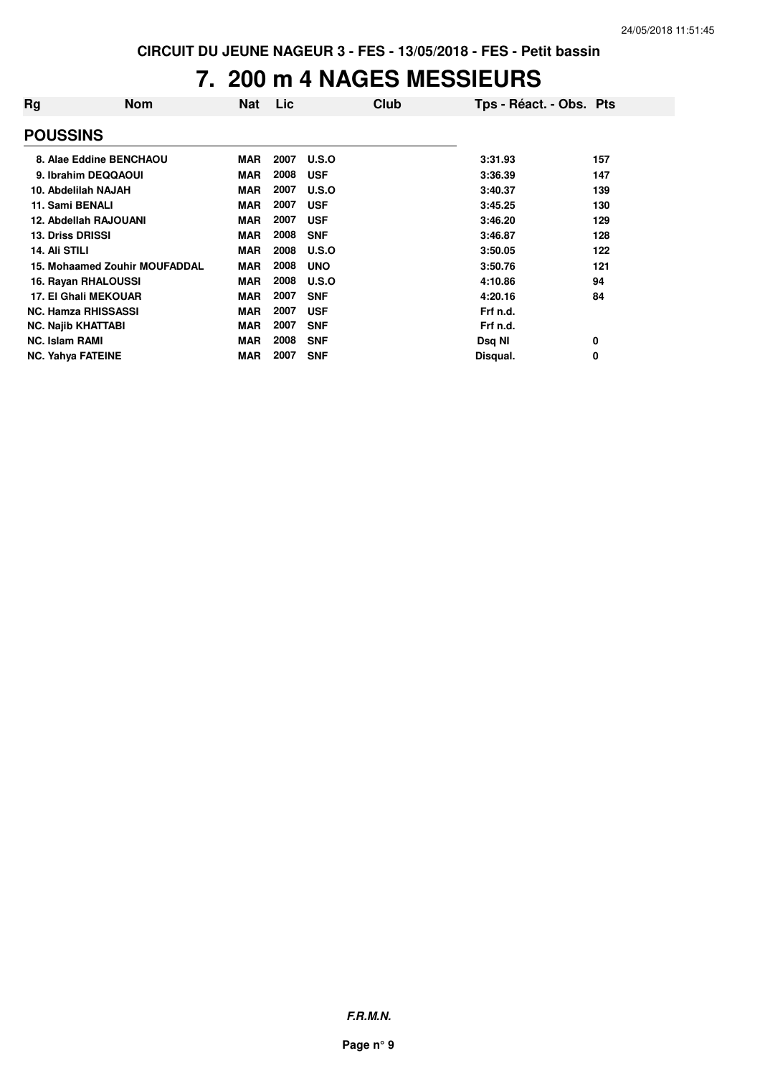### **7. 200 m 4 NAGES MESSIEURS**

| Rg                    | <b>Nom</b>                    | <b>Nat</b> | Lic  | Club       | Tps - Réact. - Obs. Pts |     |
|-----------------------|-------------------------------|------------|------|------------|-------------------------|-----|
| <b>POUSSINS</b>       |                               |            |      |            |                         |     |
|                       | 8. Alae Eddine BENCHAOU       | <b>MAR</b> | 2007 | U.S.O      | 3:31.93                 | 157 |
|                       | 9. Ibrahim DEQQAOUI           | <b>MAR</b> | 2008 | <b>USF</b> | 3:36.39                 | 147 |
|                       | 10. Abdelilah NAJAH           | <b>MAR</b> | 2007 | U.S.O      | 3:40.37                 | 139 |
|                       | 11. Sami BENALI               | <b>MAR</b> | 2007 | <b>USF</b> | 3:45.25                 | 130 |
|                       | 12. Abdellah RAJOUANI         | <b>MAR</b> | 2007 | <b>USF</b> | 3:46.20                 | 129 |
|                       | <b>13. Driss DRISSI</b>       | <b>MAR</b> | 2008 | <b>SNF</b> | 3:46.87                 | 128 |
| 14. Ali STILI         |                               | <b>MAR</b> | 2008 | U.S.O      | 3:50.05                 | 122 |
|                       | 15. Mohaamed Zouhir MOUFADDAL | <b>MAR</b> | 2008 | <b>UNO</b> | 3:50.76                 | 121 |
|                       | 16. Rayan RHALOUSSI           | <b>MAR</b> | 2008 | U.S.O      | 4:10.86                 | 94  |
|                       | <b>17. El Ghali MEKOUAR</b>   | <b>MAR</b> | 2007 | <b>SNF</b> | 4:20.16                 | 84  |
|                       | <b>NC. Hamza RHISSASSI</b>    | <b>MAR</b> | 2007 | <b>USF</b> | Frf n.d.                |     |
|                       | <b>NC. Najib KHATTABI</b>     | <b>MAR</b> | 2007 | <b>SNF</b> | Frf n.d.                |     |
| <b>NC. Islam RAMI</b> |                               | <b>MAR</b> | 2008 | <b>SNF</b> | Dsq NI                  | 0   |
|                       | <b>NC. Yahya FATEINE</b>      | <b>MAR</b> | 2007 | <b>SNF</b> | Disqual.                | 0   |

**F.R.M.N.**

**Page n° 9**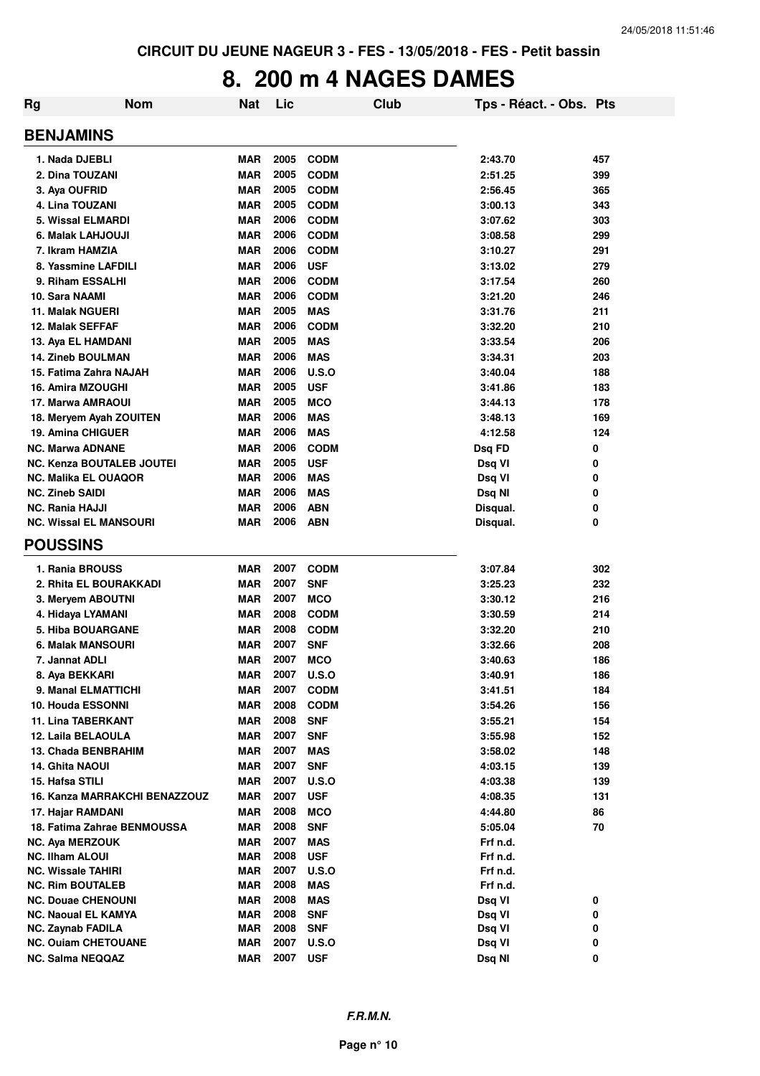### **8. 200 m 4 NAGES DAMES**

| Rg                     | <b>Nom</b>                       | <b>Nat</b> | Lic  |              | Club | Tps - Réact. - Obs. Pts |     |
|------------------------|----------------------------------|------------|------|--------------|------|-------------------------|-----|
| <b>BENJAMINS</b>       |                                  |            |      |              |      |                         |     |
|                        | 1. Nada DJEBLI                   | MAR        | 2005 | <b>CODM</b>  |      | 2:43.70                 | 457 |
|                        | 2. Dina TOUZANI                  | <b>MAR</b> | 2005 | <b>CODM</b>  |      | 2:51.25                 | 399 |
|                        | 3. Aya OUFRID                    | <b>MAR</b> | 2005 | <b>CODM</b>  |      | 2:56.45                 | 365 |
|                        | 4. Lina TOUZANI                  | <b>MAR</b> | 2005 | <b>CODM</b>  |      | 3:00.13                 | 343 |
|                        | 5. Wissal ELMARDI                | <b>MAR</b> | 2006 | <b>CODM</b>  |      | 3:07.62                 | 303 |
|                        | 6. Malak LAHJOUJI                | <b>MAR</b> | 2006 | <b>CODM</b>  |      | 3:08.58                 | 299 |
|                        | 7. Ikram HAMZIA                  | <b>MAR</b> | 2006 | <b>CODM</b>  |      | 3:10.27                 | 291 |
|                        | 8. Yassmine LAFDILI              | <b>MAR</b> | 2006 | <b>USF</b>   |      | 3:13.02                 | 279 |
|                        | 9. Riham ESSALHI                 | <b>MAR</b> | 2006 | <b>CODM</b>  |      | 3:17.54                 | 260 |
| 10. Sara NAAMI         |                                  | <b>MAR</b> | 2006 | <b>CODM</b>  |      | 3:21.20                 | 246 |
|                        | <b>11. Malak NGUERI</b>          | <b>MAR</b> | 2005 | <b>MAS</b>   |      | 3:31.76                 | 211 |
|                        | <b>12. Malak SEFFAF</b>          | <b>MAR</b> | 2006 | <b>CODM</b>  |      | 3:32.20                 | 210 |
|                        | 13. Aya EL HAMDANI               | <b>MAR</b> | 2005 | <b>MAS</b>   |      | 3:33.54                 | 206 |
|                        | <b>14. Zineb BOULMAN</b>         | <b>MAR</b> | 2006 | <b>MAS</b>   |      | 3:34.31                 | 203 |
|                        |                                  | <b>MAR</b> | 2006 | U.S.O        |      |                         |     |
|                        | 15. Fatima Zahra NAJAH           |            | 2005 |              |      | 3:40.04                 | 188 |
|                        | <b>16. Amira MZOUGHI</b>         | <b>MAR</b> |      | <b>USF</b>   |      | 3:41.86                 | 183 |
|                        | 17. Marwa AMRAOUI                | <b>MAR</b> | 2005 | <b>MCO</b>   |      | 3:44.13                 | 178 |
|                        | 18. Meryem Ayah ZOUITEN          | <b>MAR</b> | 2006 | <b>MAS</b>   |      | 3:48.13                 | 169 |
|                        | <b>19. Amina CHIGUER</b>         | <b>MAR</b> | 2006 | <b>MAS</b>   |      | 4:12.58                 | 124 |
|                        | <b>NC. Marwa ADNANE</b>          | <b>MAR</b> | 2006 | <b>CODM</b>  |      | Dsq FD                  | 0   |
|                        | <b>NC. Kenza BOUTALEB JOUTEI</b> | <b>MAR</b> | 2005 | <b>USF</b>   |      | Dsq VI                  | 0   |
|                        | <b>NC. Malika EL OUAQOR</b>      | <b>MAR</b> | 2006 | <b>MAS</b>   |      | Dsq VI                  | 0   |
| <b>NC. Zineb SAIDI</b> |                                  | <b>MAR</b> | 2006 | <b>MAS</b>   |      | Dsq NI                  | 0   |
| <b>NC. Rania HAJJI</b> |                                  | <b>MAR</b> | 2006 | <b>ABN</b>   |      | Disqual.                | 0   |
|                        | <b>NC. Wissal EL MANSOURI</b>    | <b>MAR</b> | 2006 | <b>ABN</b>   |      | Disqual.                | 0   |
| <b>POUSSINS</b>        |                                  |            |      |              |      |                         |     |
|                        | 1. Rania BROUSS                  | <b>MAR</b> | 2007 | <b>CODM</b>  |      | 3:07.84                 | 302 |
|                        | 2. Rhita EL BOURAKKADI           | <b>MAR</b> | 2007 | <b>SNF</b>   |      | 3:25.23                 | 232 |
|                        | 3. Meryem ABOUTNI                | <b>MAR</b> | 2007 | <b>MCO</b>   |      | 3:30.12                 | 216 |
|                        | 4. Hidaya LYAMANI                | <b>MAR</b> | 2008 | <b>CODM</b>  |      | 3:30.59                 | 214 |
|                        | <b>5. Hiba BOUARGANE</b>         | <b>MAR</b> | 2008 | <b>CODM</b>  |      | 3:32.20                 | 210 |
|                        | 6. Malak MANSOURI                | <b>MAR</b> | 2007 | <b>SNF</b>   |      | 3:32.66                 | 208 |
|                        | 7. Jannat ADLI                   | <b>MAR</b> | 2007 | <b>MCO</b>   |      | 3:40.63                 | 186 |
|                        | 8. Aya BEKKARI                   | MAR        | 2007 | <b>U.S.O</b> |      | 3:40.91                 | 186 |
|                        | 9. Manal ELMATTICHI              | MAR        | 2007 | <b>CODM</b>  |      | 3:41.51                 | 184 |
|                        | <b>10. Houda ESSONNI</b>         | <b>MAR</b> | 2008 | <b>CODM</b>  |      | 3:54.26                 | 156 |
|                        | <b>11. Lina TABERKANT</b>        | <b>MAR</b> | 2008 | <b>SNF</b>   |      | 3:55.21                 | 154 |
|                        | 12. Laila BELAOULA               | <b>MAR</b> | 2007 | <b>SNF</b>   |      | 3:55.98                 | 152 |
|                        | 13. Chada BENBRAHIM              | <b>MAR</b> | 2007 | <b>MAS</b>   |      | 3:58.02                 | 148 |
|                        | <b>14. Ghita NAOUI</b>           | <b>MAR</b> | 2007 | <b>SNF</b>   |      | 4:03.15                 | 139 |
| 15. Hafsa STILI        |                                  | <b>MAR</b> | 2007 | <b>U.S.O</b> |      | 4:03.38                 | 139 |
|                        | 16. Kanza MARRAKCHI BENAZZOUZ    | <b>MAR</b> | 2007 | <b>USF</b>   |      | 4:08.35                 | 131 |
|                        | 17. Hajar RAMDANI                | <b>MAR</b> | 2008 | <b>MCO</b>   |      | 4:44.80                 | 86  |
|                        | 18. Fatima Zahrae BENMOUSSA      | <b>MAR</b> | 2008 | <b>SNF</b>   |      | 5:05.04                 | 70  |
|                        | <b>NC. Aya MERZOUK</b>           | <b>MAR</b> | 2007 | <b>MAS</b>   |      | Frf n.d.                |     |
| <b>NC. Ilham ALOUI</b> |                                  | MAR        | 2008 | <b>USF</b>   |      | Frf n.d.                |     |
|                        | <b>NC. Wissale TAHIRI</b>        | <b>MAR</b> | 2007 | <b>U.S.O</b> |      | Frf n.d.                |     |
|                        | <b>NC. Rim BOUTALEB</b>          | <b>MAR</b> | 2008 | <b>MAS</b>   |      | Frf n.d.                |     |
|                        | <b>NC. Douae CHENOUNI</b>        | <b>MAR</b> | 2008 | <b>MAS</b>   |      | Dsq VI                  | 0   |
|                        | <b>NC. Naoual EL KAMYA</b>       | <b>MAR</b> | 2008 | <b>SNF</b>   |      | Dsq VI                  | 0   |
|                        | <b>NC. Zaynab FADILA</b>         | <b>MAR</b> | 2008 | <b>SNF</b>   |      | Dsq VI                  | 0   |
|                        | <b>NC. Ouiam CHETOUANE</b>       | <b>MAR</b> | 2007 | <b>U.S.O</b> |      | Dsq VI                  | 0   |
|                        | <b>NC. Salma NEQQAZ</b>          | <b>MAR</b> | 2007 | <b>USF</b>   |      | Dsq NI                  | 0   |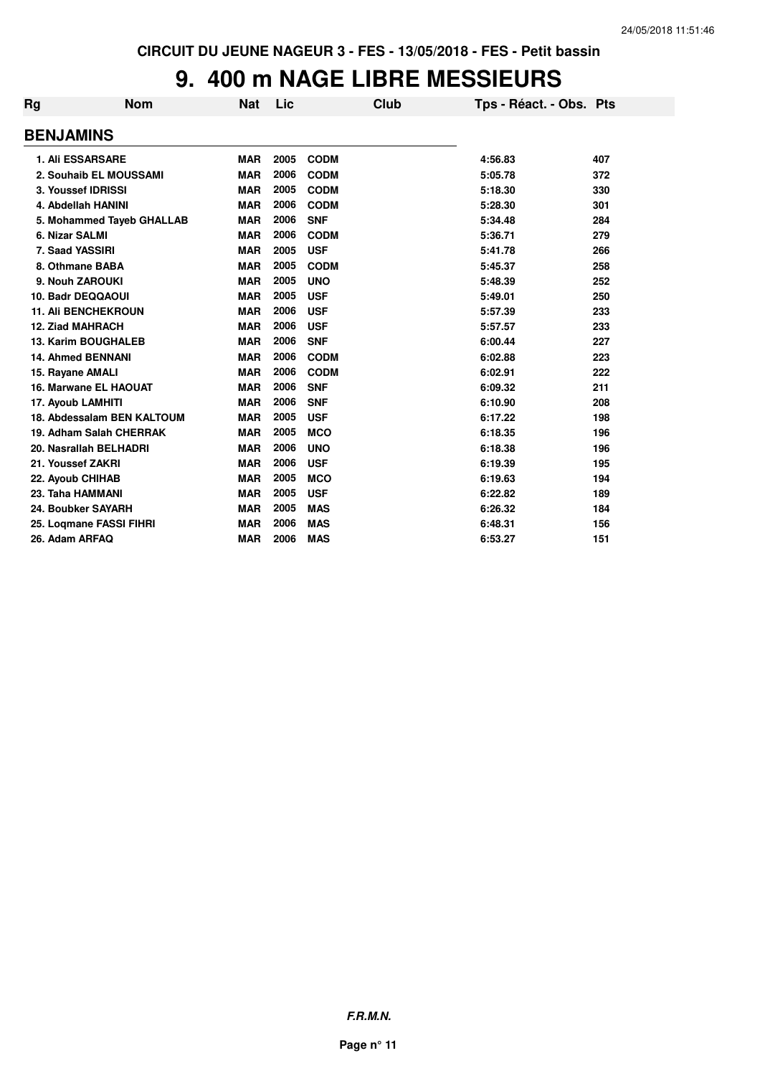# **9. 400 m NAGE LIBRE MESSIEURS**

| Rg | <b>Nom</b>                   | <b>Nat</b> | Lic  | Club        | Tps - Réact. - Obs. Pts |     |
|----|------------------------------|------------|------|-------------|-------------------------|-----|
|    | <b>BENJAMINS</b>             |            |      |             |                         |     |
|    | <b>1. Ali ESSARSARE</b>      | <b>MAR</b> | 2005 | <b>CODM</b> | 4:56.83                 | 407 |
|    | 2. Souhaib EL MOUSSAMI       | <b>MAR</b> | 2006 | <b>CODM</b> | 5:05.78                 | 372 |
|    | 3. Youssef IDRISSI           | <b>MAR</b> | 2005 | <b>CODM</b> | 5:18.30                 | 330 |
|    | 4. Abdellah HANINI           | <b>MAR</b> | 2006 | <b>CODM</b> | 5:28.30                 | 301 |
|    | 5. Mohammed Tayeb GHALLAB    | <b>MAR</b> | 2006 | <b>SNF</b>  | 5:34.48                 | 284 |
|    | 6. Nizar SALMI               | <b>MAR</b> | 2006 | <b>CODM</b> | 5:36.71                 | 279 |
|    | 7. Saad YASSIRI              | <b>MAR</b> | 2005 | <b>USF</b>  | 5:41.78                 | 266 |
|    | 8. Othmane BABA              | <b>MAR</b> | 2005 | <b>CODM</b> | 5:45.37                 | 258 |
|    | 9. Nouh ZAROUKI              | <b>MAR</b> | 2005 | <b>UNO</b>  | 5:48.39                 | 252 |
|    | 10. Badr DEQQAOUI            | <b>MAR</b> | 2005 | <b>USF</b>  | 5:49.01                 | 250 |
|    | <b>11. Ali BENCHEKROUN</b>   | <b>MAR</b> | 2006 | <b>USF</b>  | 5:57.39                 | 233 |
|    | <b>12. Ziad MAHRACH</b>      | <b>MAR</b> | 2006 | <b>USF</b>  | 5:57.57                 | 233 |
|    | <b>13. Karim BOUGHALEB</b>   | <b>MAR</b> | 2006 | <b>SNF</b>  | 6:00.44                 | 227 |
|    | <b>14. Ahmed BENNANI</b>     | <b>MAR</b> | 2006 | <b>CODM</b> | 6:02.88                 | 223 |
|    | 15. Rayane AMALI             | <b>MAR</b> | 2006 | <b>CODM</b> | 6:02.91                 | 222 |
|    | <b>16. Marwane EL HAOUAT</b> | <b>MAR</b> | 2006 | <b>SNF</b>  | 6:09.32                 | 211 |
|    | 17. Ayoub LAMHITI            | <b>MAR</b> | 2006 | <b>SNF</b>  | 6:10.90                 | 208 |
|    | 18. Abdessalam BEN KALTOUM   | <b>MAR</b> | 2005 | <b>USF</b>  | 6:17.22                 | 198 |
|    | 19. Adham Salah CHERRAK      | <b>MAR</b> | 2005 | <b>MCO</b>  | 6:18.35                 | 196 |
|    | 20. Nasrallah BELHADRI       | <b>MAR</b> | 2006 | <b>UNO</b>  | 6:18.38                 | 196 |
|    | 21. Youssef ZAKRI            | <b>MAR</b> | 2006 | <b>USF</b>  | 6:19.39                 | 195 |
|    | 22. Ayoub CHIHAB             | <b>MAR</b> | 2005 | <b>MCO</b>  | 6:19.63                 | 194 |
|    | 23. Taha HAMMANI             | <b>MAR</b> | 2005 | <b>USF</b>  | 6:22.82                 | 189 |
|    | 24. Boubker SAYARH           | <b>MAR</b> | 2005 | <b>MAS</b>  | 6:26.32                 | 184 |
|    | 25. Logmane FASSI FIHRI      | <b>MAR</b> | 2006 | <b>MAS</b>  | 6:48.31                 | 156 |
|    | 26. Adam ARFAQ               | <b>MAR</b> | 2006 | <b>MAS</b>  | 6:53.27                 | 151 |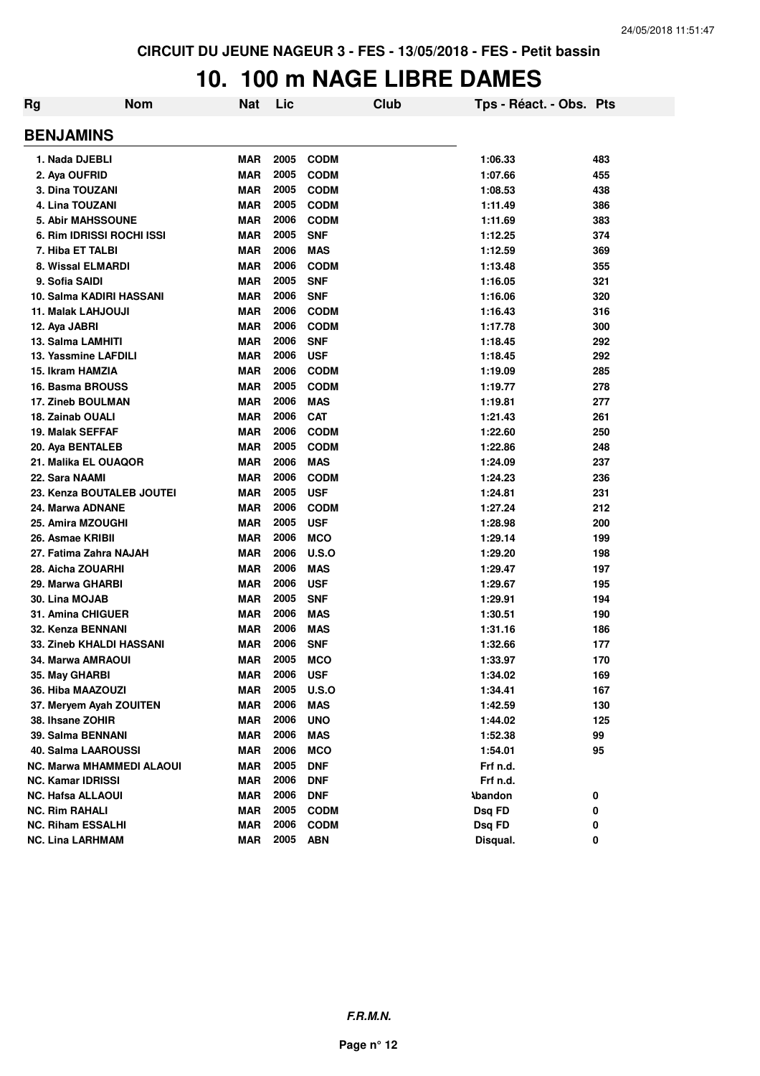#### **10. 100 m NAGE LIBRE DAMES**

| Rg                               | <b>Nom</b> | Nat        | Lic  |              | Club | Tps - Réact. - Obs. Pts |     |
|----------------------------------|------------|------------|------|--------------|------|-------------------------|-----|
| <b>BENJAMINS</b>                 |            |            |      |              |      |                         |     |
| 1. Nada DJEBLI                   |            | <b>MAR</b> | 2005 | <b>CODM</b>  |      | 1:06.33                 | 483 |
| 2. Aya OUFRID                    |            | <b>MAR</b> | 2005 | <b>CODM</b>  |      | 1:07.66                 | 455 |
| 3. Dina TOUZANI                  |            | <b>MAR</b> | 2005 | <b>CODM</b>  |      | 1:08.53                 | 438 |
| 4. Lina TOUZANI                  |            | <b>MAR</b> | 2005 | <b>CODM</b>  |      | 1:11.49                 | 386 |
| <b>5. Abir MAHSSOUNE</b>         |            | <b>MAR</b> | 2006 | <b>CODM</b>  |      | 1:11.69                 | 383 |
| 6. Rim IDRISSI ROCHI ISSI        |            | <b>MAR</b> | 2005 | <b>SNF</b>   |      | 1:12.25                 | 374 |
| 7. Hiba ET TALBI                 |            | <b>MAR</b> | 2006 | <b>MAS</b>   |      | 1:12.59                 | 369 |
| 8. Wissal ELMARDI                |            | <b>MAR</b> | 2006 | <b>CODM</b>  |      | 1:13.48                 | 355 |
| 9. Sofia SAIDI                   |            | <b>MAR</b> | 2005 | <b>SNF</b>   |      | 1:16.05                 | 321 |
| 10. Salma KADIRI HASSANI         |            | <b>MAR</b> | 2006 | <b>SNF</b>   |      | 1:16.06                 | 320 |
| <b>11. Malak LAHJOUJI</b>        |            | <b>MAR</b> | 2006 | <b>CODM</b>  |      | 1:16.43                 | 316 |
| 12. Aya JABRI                    |            | <b>MAR</b> | 2006 | <b>CODM</b>  |      | 1:17.78                 | 300 |
| 13. Salma LAMHITI                |            | <b>MAR</b> | 2006 | <b>SNF</b>   |      | 1:18.45                 | 292 |
| 13. Yassmine LAFDILI             |            | <b>MAR</b> | 2006 | <b>USF</b>   |      | 1:18.45                 | 292 |
| 15. Ikram HAMZIA                 |            | <b>MAR</b> | 2006 | <b>CODM</b>  |      | 1:19.09                 | 285 |
| 16. Basma BROUSS                 |            | <b>MAR</b> | 2005 | <b>CODM</b>  |      | 1:19.77                 | 278 |
| <b>17. Zineb BOULMAN</b>         |            | <b>MAR</b> | 2006 | <b>MAS</b>   |      | 1:19.81                 | 277 |
| 18. Zainab OUALI                 |            | <b>MAR</b> | 2006 | <b>CAT</b>   |      | 1:21.43                 | 261 |
| 19. Malak SEFFAF                 |            | <b>MAR</b> | 2006 | <b>CODM</b>  |      | 1:22.60                 | 250 |
| 20. Aya BENTALEB                 |            | <b>MAR</b> | 2005 | <b>CODM</b>  |      | 1:22.86                 | 248 |
| 21. Malika EL OUAQOR             |            | <b>MAR</b> | 2006 | <b>MAS</b>   |      | 1:24.09                 | 237 |
| 22. Sara NAAMI                   |            | <b>MAR</b> | 2006 | <b>CODM</b>  |      | 1:24.23                 | 236 |
| 23. Kenza BOUTALEB JOUTEI        |            | <b>MAR</b> | 2005 | <b>USF</b>   |      | 1:24.81                 | 231 |
| 24. Marwa ADNANE                 |            | <b>MAR</b> | 2006 | <b>CODM</b>  |      | 1:27.24                 | 212 |
| 25. Amira MZOUGHI                |            | <b>MAR</b> | 2005 | <b>USF</b>   |      | 1:28.98                 | 200 |
| 26. Asmae KRIBII                 |            | <b>MAR</b> | 2006 | <b>MCO</b>   |      | 1:29.14                 | 199 |
| 27. Fatima Zahra NAJAH           |            | <b>MAR</b> | 2006 | U.S.O        |      | 1:29.20                 | 198 |
| 28. Aicha ZOUARHI                |            | <b>MAR</b> | 2006 | <b>MAS</b>   |      | 1:29.47                 | 197 |
| 29. Marwa GHARBI                 |            | <b>MAR</b> | 2006 | <b>USF</b>   |      | 1:29.67                 | 195 |
| 30. Lina MOJAB                   |            | <b>MAR</b> | 2005 | <b>SNF</b>   |      | 1:29.91                 | 194 |
| 31. Amina CHIGUER                |            | <b>MAR</b> | 2006 | <b>MAS</b>   |      | 1:30.51                 | 190 |
| 32. Kenza BENNANI                |            | <b>MAR</b> | 2006 | <b>MAS</b>   |      | 1:31.16                 | 186 |
| <b>33. Zineb KHALDI HASSANI</b>  |            | <b>MAR</b> | 2006 | <b>SNF</b>   |      | 1:32.66                 | 177 |
| 34. Marwa AMRAOUI                |            | <b>MAR</b> | 2005 | <b>MCO</b>   |      | 1:33.97                 | 170 |
| 35. May GHARBI                   |            | <b>MAR</b> | 2006 | <b>USF</b>   |      | 1:34.02                 | 169 |
| 36. Hiba MAAZOUZI                |            | <b>MAR</b> | 2005 | <b>U.S.O</b> |      | 1:34.41                 | 167 |
| 37. Meryem Ayah ZOUITEN          |            | <b>MAR</b> | 2006 | <b>MAS</b>   |      | 1:42.59                 | 130 |
| 38. Ihsane ZOHIR                 |            | <b>MAR</b> | 2006 | <b>UNO</b>   |      | 1:44.02                 | 125 |
| 39. Salma BENNANI                |            | <b>MAR</b> | 2006 | <b>MAS</b>   |      | 1:52.38                 | 99  |
| 40. Salma LAAROUSSI              |            | <b>MAR</b> | 2006 | <b>MCO</b>   |      | 1:54.01                 | 95  |
| <b>NC. Marwa MHAMMEDI ALAOUI</b> |            | <b>MAR</b> | 2005 | <b>DNF</b>   |      | Frf n.d.                |     |
| <b>NC. Kamar IDRISSI</b>         |            | <b>MAR</b> | 2006 | <b>DNF</b>   |      | Frf n.d.                |     |
| <b>NC. Hafsa ALLAOUI</b>         |            | <b>MAR</b> | 2006 | <b>DNF</b>   |      | <b>Abandon</b>          | 0   |
| <b>NC. Rim RAHALI</b>            |            | <b>MAR</b> | 2005 | <b>CODM</b>  |      | Dsq FD                  | 0   |
| <b>NC. Riham ESSALHI</b>         |            | <b>MAR</b> | 2006 | <b>CODM</b>  |      | Dsq FD                  | 0   |
| <b>NC. Lina LARHMAM</b>          |            | <b>MAR</b> | 2005 | <b>ABN</b>   |      | Disqual.                | 0   |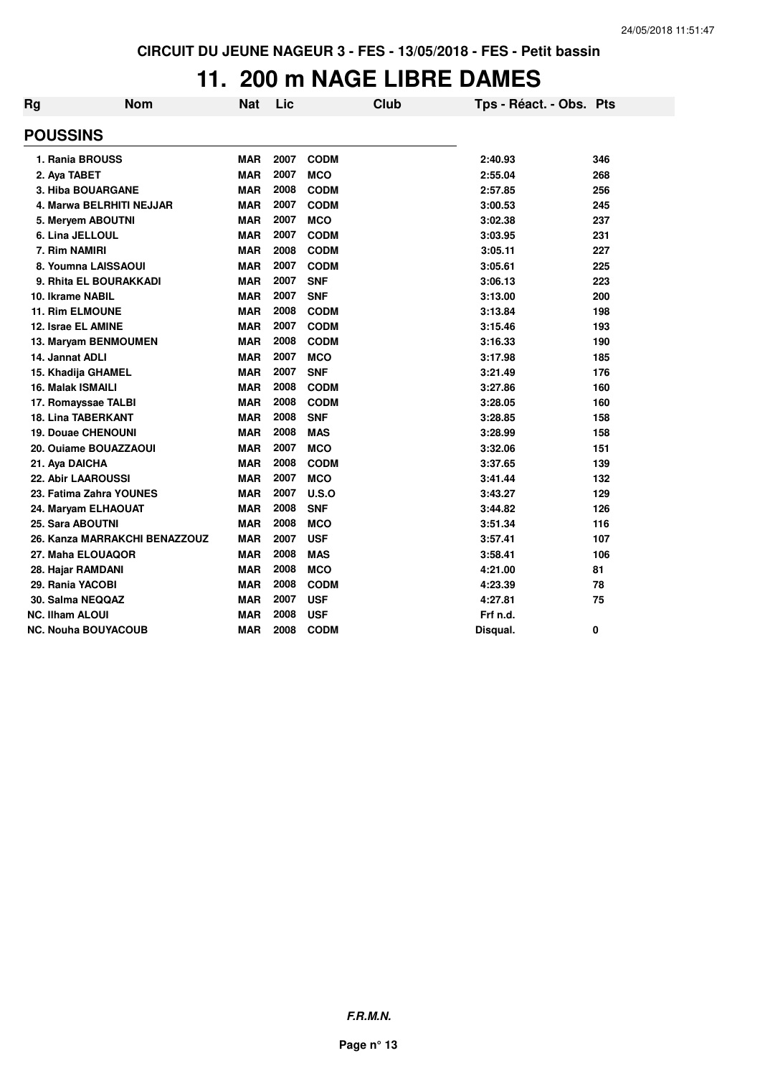### **11. 200 m NAGE LIBRE DAMES**

| Rg              | <b>Nom</b>                    | <b>Nat</b> | Lic  | Club        | Tps - Réact. - Obs. Pts |     |  |
|-----------------|-------------------------------|------------|------|-------------|-------------------------|-----|--|
| <b>POUSSINS</b> |                               |            |      |             |                         |     |  |
|                 | 1. Rania BROUSS               | <b>MAR</b> | 2007 | <b>CODM</b> | 2:40.93                 | 346 |  |
|                 | 2. Aya TABET                  | <b>MAR</b> | 2007 | <b>MCO</b>  | 2:55.04                 | 268 |  |
|                 | <b>3. Hiba BOUARGANE</b>      | <b>MAR</b> | 2008 | <b>CODM</b> | 2:57.85                 | 256 |  |
|                 | 4. Marwa BELRHITI NEJJAR      | <b>MAR</b> | 2007 | <b>CODM</b> | 3:00.53                 | 245 |  |
|                 | 5. Meryem ABOUTNI             | <b>MAR</b> | 2007 | <b>MCO</b>  | 3:02.38                 | 237 |  |
|                 | 6. Lina JELLOUL               | <b>MAR</b> | 2007 | <b>CODM</b> | 3:03.95                 | 231 |  |
|                 | 7. Rim NAMIRI                 | <b>MAR</b> | 2008 | <b>CODM</b> | 3:05.11                 | 227 |  |
|                 | 8. Youmna LAISSAOUI           | <b>MAR</b> | 2007 | <b>CODM</b> | 3:05.61                 | 225 |  |
|                 | 9. Rhita EL BOURAKKADI        | <b>MAR</b> | 2007 | <b>SNF</b>  | 3:06.13                 | 223 |  |
|                 | 10. Ikrame NABIL              | <b>MAR</b> | 2007 | <b>SNF</b>  | 3:13.00                 | 200 |  |
|                 | <b>11. Rim ELMOUNE</b>        | <b>MAR</b> | 2008 | <b>CODM</b> | 3:13.84                 | 198 |  |
|                 | 12. Israe EL AMINE            | <b>MAR</b> | 2007 | <b>CODM</b> | 3:15.46                 | 193 |  |
|                 | 13. Maryam BENMOUMEN          | <b>MAR</b> | 2008 | <b>CODM</b> | 3:16.33                 | 190 |  |
|                 | 14. Jannat ADLI               | <b>MAR</b> | 2007 | <b>MCO</b>  | 3:17.98                 | 185 |  |
|                 | 15. Khadija GHAMEL            | <b>MAR</b> | 2007 | <b>SNF</b>  | 3:21.49                 | 176 |  |
|                 | 16. Malak ISMAILI             | <b>MAR</b> | 2008 | <b>CODM</b> | 3:27.86                 | 160 |  |
|                 | 17. Romayssae TALBI           | <b>MAR</b> | 2008 | <b>CODM</b> | 3:28.05                 | 160 |  |
|                 | <b>18. Lina TABERKANT</b>     | <b>MAR</b> | 2008 | <b>SNF</b>  | 3:28.85                 | 158 |  |
|                 | <b>19. Douae CHENOUNI</b>     | <b>MAR</b> | 2008 | <b>MAS</b>  | 3:28.99                 | 158 |  |
|                 | 20. Ouiame BOUAZZAOUI         | <b>MAR</b> | 2007 | <b>MCO</b>  | 3:32.06                 | 151 |  |
|                 | 21. Aya DAICHA                | <b>MAR</b> | 2008 | <b>CODM</b> | 3:37.65                 | 139 |  |
|                 | <b>22. Abir LAAROUSSI</b>     | <b>MAR</b> | 2007 | <b>MCO</b>  | 3:41.44                 | 132 |  |
|                 | 23. Fatima Zahra YOUNES       | <b>MAR</b> | 2007 | U.S.O       | 3:43.27                 | 129 |  |
|                 | 24. Maryam ELHAOUAT           | <b>MAR</b> | 2008 | <b>SNF</b>  | 3:44.82                 | 126 |  |
|                 | 25. Sara ABOUTNI              | <b>MAR</b> | 2008 | <b>MCO</b>  | 3:51.34                 | 116 |  |
|                 | 26. Kanza MARRAKCHI BENAZZOUZ | <b>MAR</b> | 2007 | <b>USF</b>  | 3:57.41                 | 107 |  |
|                 | 27. Maha ELOUAQOR             | <b>MAR</b> | 2008 | <b>MAS</b>  | 3:58.41                 | 106 |  |
|                 | 28. Hajar RAMDANI             | <b>MAR</b> | 2008 | <b>MCO</b>  | 4:21.00                 | 81  |  |
|                 | 29. Rania YACOBI              | <b>MAR</b> | 2008 | <b>CODM</b> | 4:23.39                 | 78  |  |
|                 | 30. Salma NEQQAZ              | <b>MAR</b> | 2007 | <b>USF</b>  | 4:27.81                 | 75  |  |
|                 | <b>NC. Ilham ALOUI</b>        | <b>MAR</b> | 2008 | <b>USF</b>  | Frf n.d.                |     |  |
|                 | <b>NC. Nouha BOUYACOUB</b>    | <b>MAR</b> | 2008 | <b>CODM</b> | Disqual.                | 0   |  |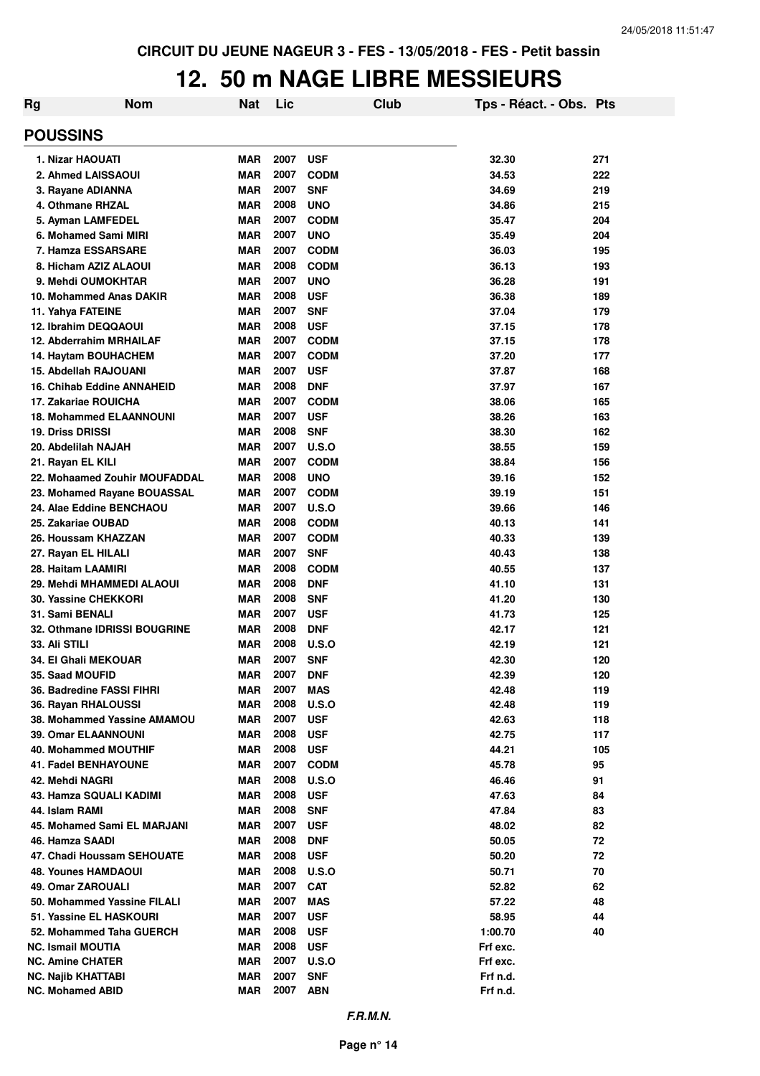### **12. 50 m NAGE LIBRE MESSIEURS**

| Rg              | <b>Nom</b>                                           | <b>Nat</b>               | Lic          |                          | Club | Tps - Réact. - Obs. Pts |            |
|-----------------|------------------------------------------------------|--------------------------|--------------|--------------------------|------|-------------------------|------------|
| <b>POUSSINS</b> |                                                      |                          |              |                          |      |                         |            |
|                 | 1. Nizar HAOUATI                                     | <b>MAR</b>               | 2007         | <b>USF</b>               |      | 32.30                   | 271        |
|                 | 2. Ahmed LAISSAOUI                                   | <b>MAR</b>               | 2007         | <b>CODM</b>              |      | 34.53                   | 222        |
|                 | 3. Rayane ADIANNA                                    | <b>MAR</b>               | 2007         | <b>SNF</b>               |      | 34.69                   | 219        |
|                 | 4. Othmane RHZAL                                     | <b>MAR</b>               | 2008         | <b>UNO</b>               |      | 34.86                   | 215        |
|                 | 5. Ayman LAMFEDEL                                    | <b>MAR</b>               | 2007         | <b>CODM</b>              |      | 35.47                   | 204        |
|                 | 6. Mohamed Sami MIRI                                 | <b>MAR</b>               | 2007         | <b>UNO</b>               |      | 35.49                   | 204        |
|                 | 7. Hamza ESSARSARE                                   | <b>MAR</b>               | 2007         | <b>CODM</b>              |      | 36.03                   | 195        |
|                 | 8. Hicham AZIZ ALAOUI                                | <b>MAR</b>               | 2008         | <b>CODM</b>              |      | 36.13                   | 193        |
|                 | 9. Mehdi OUMOKHTAR                                   | <b>MAR</b>               | 2007         | <b>UNO</b>               |      | 36.28                   | 191        |
|                 | 10. Mohammed Anas DAKIR                              | <b>MAR</b>               | 2008<br>2007 | <b>USF</b>               |      | 36.38                   | 189        |
|                 | 11. Yahya FATEINE<br>12. Ibrahim DEQQAOUI            | <b>MAR</b><br><b>MAR</b> | 2008         | <b>SNF</b><br><b>USF</b> |      | 37.04<br>37.15          | 179<br>178 |
|                 | 12. Abderrahim MRHAILAF                              | <b>MAR</b>               | 2007         | <b>CODM</b>              |      | 37.15                   | 178        |
|                 | 14. Haytam BOUHACHEM                                 | <b>MAR</b>               | 2007         | <b>CODM</b>              |      | 37.20                   | 177        |
|                 | 15. Abdellah RAJOUANI                                | <b>MAR</b>               | 2007         | <b>USF</b>               |      | 37.87                   | 168        |
|                 | <b>16. Chihab Eddine ANNAHEID</b>                    | <b>MAR</b>               | 2008         | <b>DNF</b>               |      | 37.97                   | 167        |
|                 | 17. Zakariae ROUICHA                                 | <b>MAR</b>               | 2007         | <b>CODM</b>              |      | 38.06                   | 165        |
|                 | <b>18. Mohammed ELAANNOUNI</b>                       | <b>MAR</b>               | 2007         | <b>USF</b>               |      | 38.26                   | 163        |
|                 | <b>19. Driss DRISSI</b>                              | <b>MAR</b>               | 2008         | <b>SNF</b>               |      | 38.30                   | 162        |
|                 | 20. Abdelilah NAJAH                                  | <b>MAR</b>               | 2007         | U.S.O                    |      | 38.55                   | 159        |
|                 | 21. Rayan EL KILI                                    | <b>MAR</b>               | 2007         | <b>CODM</b>              |      | 38.84                   | 156        |
|                 | 22. Mohaamed Zouhir MOUFADDAL                        | <b>MAR</b>               | 2008         | <b>UNO</b>               |      | 39.16                   | 152        |
|                 | 23. Mohamed Rayane BOUASSAL                          | <b>MAR</b>               | 2007         | <b>CODM</b>              |      | 39.19                   | 151        |
|                 | 24. Alae Eddine BENCHAOU                             | <b>MAR</b>               | 2007         | U.S.O                    |      | 39.66                   | 146        |
|                 | 25. Zakariae OUBAD                                   | <b>MAR</b>               | 2008         | <b>CODM</b>              |      | 40.13                   | 141        |
|                 | 26. Houssam KHAZZAN                                  | <b>MAR</b>               | 2007         | <b>CODM</b>              |      | 40.33                   | 139        |
|                 | 27. Rayan EL HILALI                                  | <b>MAR</b>               | 2007         | <b>SNF</b>               |      | 40.43                   | 138        |
|                 | 28. Haitam LAAMIRI                                   | <b>MAR</b>               | 2008         | <b>CODM</b>              |      | 40.55                   | 137        |
|                 | 29. Mehdi MHAMMEDI ALAOUI                            | <b>MAR</b>               | 2008         | <b>DNF</b>               |      | 41.10                   | 131        |
|                 | 30. Yassine CHEKKORI<br>31. Sami BENALI              | <b>MAR</b>               | 2008<br>2007 | <b>SNF</b>               |      | 41.20                   | 130        |
|                 | 32. Othmane IDRISSI BOUGRINE                         | <b>MAR</b><br><b>MAR</b> | 2008         | <b>USF</b><br><b>DNF</b> |      | 41.73<br>42.17          | 125<br>121 |
|                 | <b>33. Ali STILI</b>                                 | <b>MAR</b>               | 2008         | U.S.O                    |      | 42.19                   | 121        |
|                 | 34. El Ghali MEKOUAR                                 | <b>MAR</b>               | 2007         | <b>SNF</b>               |      | 42.30                   | 120        |
|                 | <b>35. Saad MOUFID</b>                               | MAR                      | 2007         | <b>DNF</b>               |      | 42.39                   | 120        |
|                 | 36. Badredine FASSI FIHRI                            | <b>MAR</b>               | 2007         | <b>MAS</b>               |      | 42.48                   | 119        |
|                 | 36. Rayan RHALOUSSI                                  | <b>MAR</b>               | 2008         | <b>U.S.O</b>             |      | 42.48                   | 119        |
|                 | 38. Mohammed Yassine AMAMOU                          | <b>MAR</b>               | 2007         | <b>USF</b>               |      | 42.63                   | 118        |
|                 | <b>39. Omar ELAANNOUNI</b>                           | <b>MAR</b>               | 2008         | <b>USF</b>               |      | 42.75                   | 117        |
|                 | 40. Mohammed MOUTHIF                                 | <b>MAR</b>               | 2008         | <b>USF</b>               |      | 44.21                   | 105        |
|                 | <b>41. Fadel BENHAYOUNE</b>                          | <b>MAR</b>               | 2007         | <b>CODM</b>              |      | 45.78                   | 95         |
|                 | 42. Mehdi NAGRI                                      | <b>MAR</b>               | 2008         | <b>U.S.O</b>             |      | 46.46                   | 91         |
|                 | 43. Hamza SQUALI KADIMI                              | <b>MAR</b>               | 2008         | <b>USF</b>               |      | 47.63                   | 84         |
|                 | 44. Islam RAMI                                       | <b>MAR</b>               | 2008         | <b>SNF</b>               |      | 47.84                   | 83         |
|                 | 45. Mohamed Sami EL MARJANI                          | <b>MAR</b>               | 2007         | <b>USF</b>               |      | 48.02                   | 82         |
|                 | 46. Hamza SAADI                                      | <b>MAR</b>               | 2008         | <b>DNF</b>               |      | 50.05                   | 72         |
|                 | 47. Chadi Houssam SEHOUATE                           | <b>MAR</b>               | 2008         | <b>USF</b>               |      | 50.20                   | 72         |
|                 | <b>48. Younes HAMDAOUI</b>                           | <b>MAR</b>               | 2008         | <b>U.S.O</b>             |      | 50.71                   | 70         |
|                 | 49. Omar ZAROUALI                                    | <b>MAR</b>               | 2007         | <b>CAT</b>               |      | 52.82                   | 62         |
|                 | 50. Mohammed Yassine FILALI                          | <b>MAR</b>               | 2007         | <b>MAS</b>               |      | 57.22                   | 48         |
|                 | 51. Yassine EL HASKOURI                              | <b>MAR</b>               | 2007<br>2008 | <b>USF</b>               |      | 58.95                   | 44         |
|                 | 52. Mohammed Taha GUERCH<br><b>NC. Ismail MOUTIA</b> | <b>MAR</b><br><b>MAR</b> | 2008         | <b>USF</b><br><b>USF</b> |      | 1:00.70<br>Frf exc.     | 40         |
|                 | <b>NC. Amine CHATER</b>                              | <b>MAR</b>               | 2007         | <b>U.S.O</b>             |      | Frf exc.                |            |
|                 | <b>NC. Najib KHATTABI</b>                            | <b>MAR</b>               | 2007         | <b>SNF</b>               |      | Frf n.d.                |            |
|                 | <b>NC. Mohamed ABID</b>                              | MAR                      | 2007         | <b>ABN</b>               |      | Frf n.d.                |            |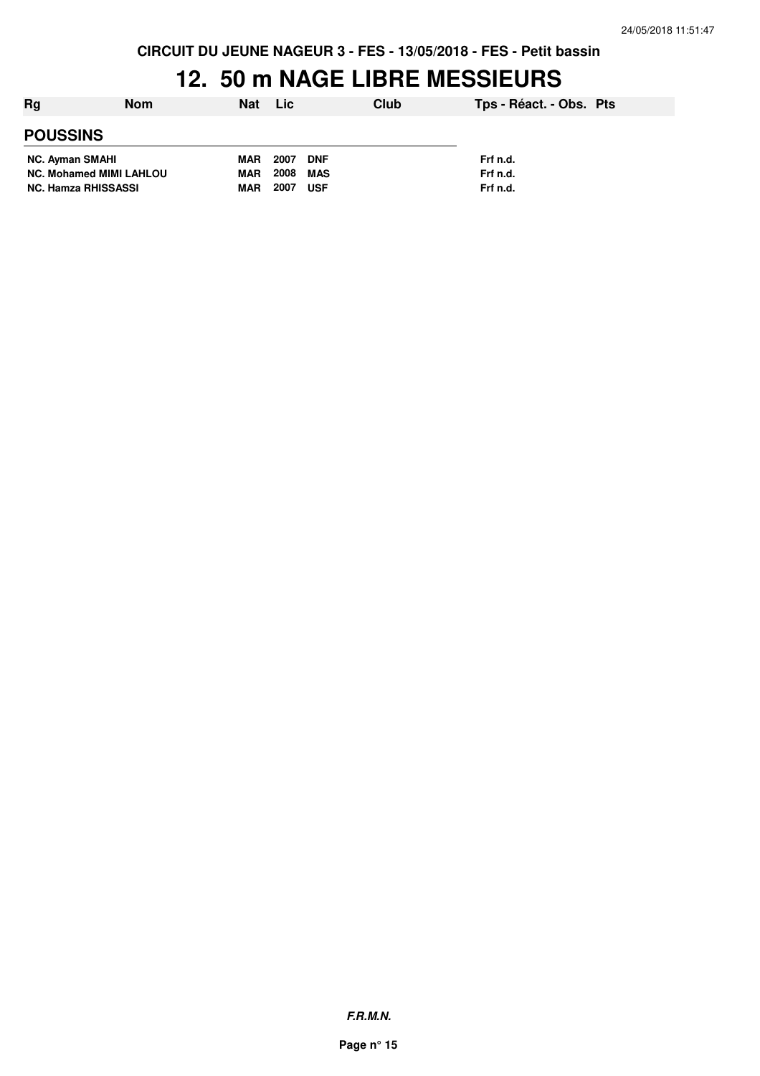**CIRCUIT DU JEUNE NAGEUR 3 - FES - 13/05/2018 - FES - Petit bassin**

## **12. 50 m NAGE LIBRE MESSIEURS**

| Rg                             | <b>Nom</b> | Nat      | Lic.       |            | Club     | Tps - Réact. - Obs. Pts |  |
|--------------------------------|------------|----------|------------|------------|----------|-------------------------|--|
| <b>POUSSINS</b>                |            |          |            |            |          |                         |  |
| <b>NC. Ayman SMAHI</b>         |            | MAR 2007 |            | <b>DNF</b> |          | Frf n.d.                |  |
| <b>NC. Mohamed MIMI LAHLOU</b> |            | MAR      | 2008       | MAS        |          | Frf n.d.                |  |
| <b>NC. Hamza RHISSASSI</b>     | MAR        | 2007     | <b>USF</b> |            | Frf n.d. |                         |  |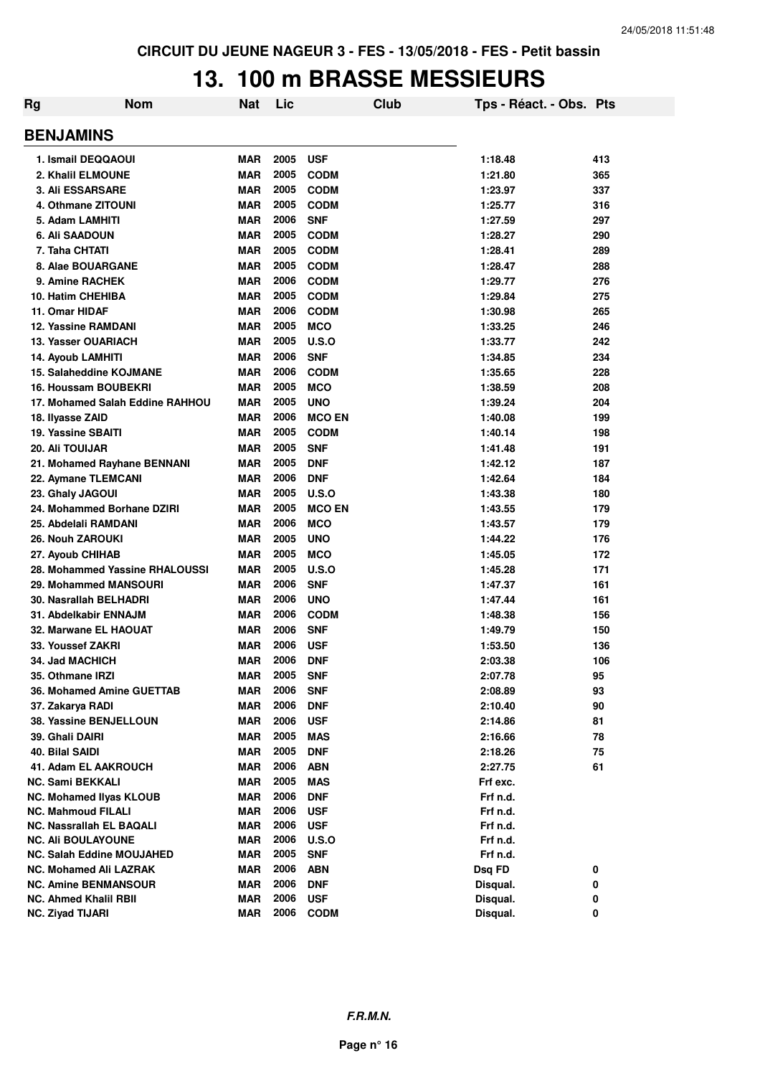### **13. 100 m BRASSE MESSIEURS**

| Rg                                                      | <b>Nom</b>                      | <b>Nat</b>               | Lic          |                           | Club | Tps - Réact. - Obs. Pts |        |
|---------------------------------------------------------|---------------------------------|--------------------------|--------------|---------------------------|------|-------------------------|--------|
| <b>BENJAMINS</b>                                        |                                 |                          |              |                           |      |                         |        |
| 1. Ismail DEQQAOUI                                      |                                 | <b>MAR</b>               | 2005         | <b>USF</b>                |      | 1:18.48                 | 413    |
| 2. Khalil ELMOUNE                                       |                                 | <b>MAR</b>               | 2005         | <b>CODM</b>               |      | 1:21.80                 | 365    |
| <b>3. Ali ESSARSARE</b>                                 |                                 | <b>MAR</b>               | 2005         | <b>CODM</b>               |      | 1:23.97                 | 337    |
| 4. Othmane ZITOUNI                                      |                                 | <b>MAR</b>               | 2005         | <b>CODM</b>               |      | 1:25.77                 | 316    |
| 5. Adam LAMHITI                                         |                                 | <b>MAR</b>               | 2006         | <b>SNF</b>                |      | 1:27.59                 | 297    |
| 6. Ali SAADOUN                                          |                                 | <b>MAR</b>               | 2005         | <b>CODM</b>               |      | 1:28.27                 | 290    |
| 7. Taha CHTATI                                          |                                 | MAR                      | 2005         | <b>CODM</b>               |      | 1:28.41                 | 289    |
| 8. Alae BOUARGANE                                       |                                 | MAR                      | 2005         | <b>CODM</b>               |      | 1:28.47                 | 288    |
| 9. Amine RACHEK                                         |                                 | <b>MAR</b>               | 2006         | <b>CODM</b>               |      | 1:29.77                 | 276    |
| 10. Hatim CHEHIBA                                       |                                 | <b>MAR</b>               | 2005         | <b>CODM</b>               |      | 1:29.84                 | 275    |
| 11. Omar HIDAF                                          |                                 | <b>MAR</b>               | 2006         | <b>CODM</b>               |      | 1:30.98                 | 265    |
| <b>12. Yassine RAMDANI</b>                              |                                 | <b>MAR</b>               | 2005         | <b>MCO</b>                |      | 1:33.25                 | 246    |
| 13. Yasser OUARIACH                                     |                                 | <b>MAR</b>               | 2005         | <b>U.S.O</b>              |      | 1:33.77                 | 242    |
| 14. Ayoub LAMHITI                                       |                                 | <b>MAR</b>               | 2006         | <b>SNF</b>                |      | 1:34.85                 | 234    |
|                                                         | 15. Salaheddine KOJMANE         | <b>MAR</b>               | 2006         | <b>CODM</b>               |      | 1:35.65                 | 228    |
|                                                         | <b>16. Houssam BOUBEKRI</b>     | <b>MAR</b>               | 2005         | <b>MCO</b>                |      | 1:38.59                 | 208    |
|                                                         | 17. Mohamed Salah Eddine RAHHOU | MAR                      | 2005         | <b>UNO</b>                |      | 1:39.24                 | 204    |
| 18. Ilyasse ZAID                                        |                                 | <b>MAR</b>               | 2006         | <b>MCO EN</b>             |      | 1:40.08                 | 199    |
| 19. Yassine SBAITI                                      |                                 | MAR                      | 2005         | <b>CODM</b>               |      | 1:40.14                 | 198    |
| <b>20. Ali TOUIJAR</b>                                  |                                 | MAR                      | 2005         | <b>SNF</b>                |      | 1:41.48                 | 191    |
|                                                         | 21. Mohamed Rayhane BENNANI     | MAR                      | 2005         | <b>DNF</b>                |      | 1:42.12                 | 187    |
| 22. Aymane TLEMCANI                                     |                                 | <b>MAR</b>               | 2006         | <b>DNF</b>                |      | 1:42.64                 | 184    |
| 23. Ghaly JAGOUI                                        |                                 | <b>MAR</b>               | 2005         | U.S.O                     |      | 1:43.38                 | 180    |
|                                                         | 24. Mohammed Borhane DZIRI      | MAR                      | 2005         | <b>MCO EN</b>             |      | 1:43.55                 | 179    |
| 25. Abdelali RAMDANI                                    |                                 | <b>MAR</b>               | 2006         | <b>MCO</b>                |      | 1:43.57                 | 179    |
| 26. Nouh ZAROUKI                                        |                                 | <b>MAR</b>               | 2005         | <b>UNO</b>                |      | 1:44.22                 | 176    |
| 27. Ayoub CHIHAB                                        |                                 | <b>MAR</b>               | 2005         | <b>MCO</b>                |      | 1:45.05                 | 172    |
|                                                         | 28. Mohammed Yassine RHALOUSSI  | <b>MAR</b>               | 2005         | <b>U.S.O</b>              |      | 1:45.28                 | 171    |
|                                                         | 29. Mohammed MANSOURI           | <b>MAR</b>               | 2006         | <b>SNF</b>                |      | 1:47.37                 | 161    |
|                                                         | 30. Nasrallah BELHADRI          | <b>MAR</b>               | 2006         | <b>UNO</b>                |      | 1:47.44                 | 161    |
|                                                         | 31. Abdelkabir ENNAJM           | <b>MAR</b>               | 2006         | <b>CODM</b>               |      | 1:48.38                 | 156    |
|                                                         | 32. Marwane EL HAOUAT           | <b>MAR</b>               | 2006         | <b>SNF</b>                |      | 1:49.79                 | 150    |
| 33. Youssef ZAKRI                                       |                                 | <b>MAR</b>               | 2006         | <b>USF</b>                |      | 1:53.50                 | 136    |
| <b>34. Jad MACHICH</b>                                  |                                 | MAR                      | 2006         | <b>DNF</b>                |      | 2:03.38                 | 106    |
| 35. Othmane IRZI                                        |                                 | MAR                      | 2005         | <b>SNF</b>                |      | 2:07.78                 | 95     |
|                                                         | 36. Mohamed Amine GUETTAB       | <b>MAR</b>               | 2006         | <b>SNF</b>                |      | 2:08.89                 | 93     |
| 37. Zakarya RADI                                        |                                 | <b>MAR</b>               | 2006         | <b>DNF</b>                |      | 2:10.40                 | 90     |
|                                                         | 38. Yassine BENJELLOUN          | <b>MAR</b>               | 2006         | <b>USF</b>                |      | 2:14.86                 | 81     |
| 39. Ghali DAIRI                                         |                                 | <b>MAR</b>               | 2005         | <b>MAS</b>                |      | 2:16.66                 | 78     |
| 40. Bilal SAIDI                                         |                                 | <b>MAR</b>               | 2005         | <b>DNF</b>                |      | 2:18.26                 | 75     |
|                                                         | 41. Adam EL AAKROUCH            | <b>MAR</b>               | 2006         | <b>ABN</b>                |      | 2:27.75                 | 61     |
| <b>NC. Sami BEKKALI</b>                                 |                                 | <b>MAR</b>               | 2005         | <b>MAS</b>                |      | Frf exc.                |        |
|                                                         | <b>NC. Mohamed Ilyas KLOUB</b>  | <b>MAR</b>               | 2006         | <b>DNF</b>                |      | Frf n.d.                |        |
| <b>NC. Mahmoud FILALI</b>                               |                                 | <b>MAR</b>               | 2006         | <b>USF</b>                |      | Frf n.d.                |        |
|                                                         | <b>NC. Nassrallah EL BAQALI</b> | MAR                      | 2006         | <b>USF</b>                |      | Frf n.d.                |        |
| <b>NC. Ali BOULAYOUNE</b>                               |                                 | <b>MAR</b>               | 2006         | <b>U.S.O</b>              |      | Frf n.d.                |        |
|                                                         | NC. Salah Eddine MOUJAHED       | <b>MAR</b>               | 2005         | <b>SNF</b>                |      | Frf n.d.                |        |
|                                                         | <b>NC. Mohamed Ali LAZRAK</b>   | <b>MAR</b>               | 2006         | <b>ABN</b>                |      | Dsq FD                  | 0      |
|                                                         | <b>NC. Amine BENMANSOUR</b>     | <b>MAR</b>               | 2006         | <b>DNF</b>                |      | Disqual.                | 0      |
| <b>NC. Ahmed Khalil RBII</b><br><b>NC. Ziyad TIJARI</b> |                                 | <b>MAR</b><br><b>MAR</b> | 2006<br>2006 | <b>USF</b><br><b>CODM</b> |      | Disqual.<br>Disqual.    | 0<br>0 |
|                                                         |                                 |                          |              |                           |      |                         |        |